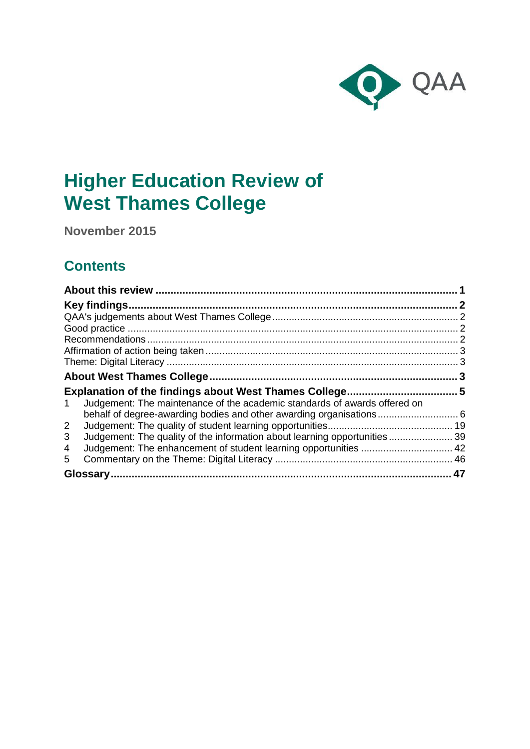

# **Higher Education Review of West Thames College**

**November 2015**

## **Contents**

| Judgement: The maintenance of the academic standards of awards offered on<br>$\mathbf{1}$ |  |
|-------------------------------------------------------------------------------------------|--|
|                                                                                           |  |
| $\overline{2}$                                                                            |  |
| Judgement: The quality of the information about learning opportunities 39<br>3            |  |
| Judgement: The enhancement of student learning opportunities  42<br>4                     |  |
| 5                                                                                         |  |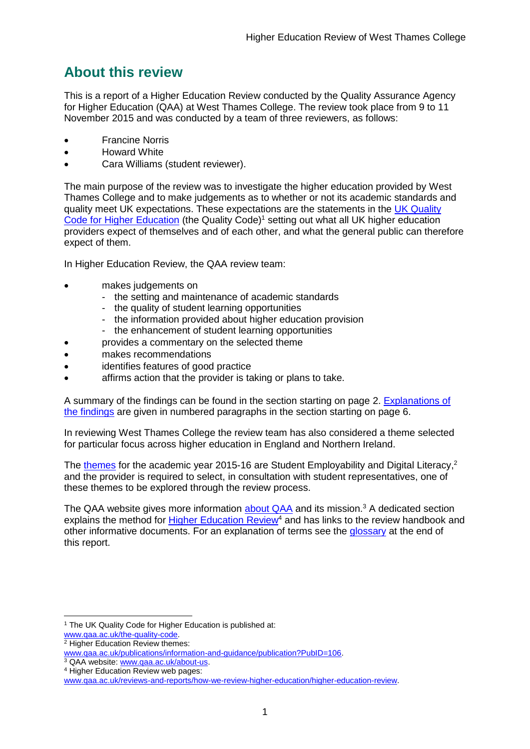## <span id="page-1-0"></span>**About this review**

This is a report of a Higher Education Review conducted by the Quality Assurance Agency for Higher Education (QAA) at West Thames College. The review took place from 9 to 11 November 2015 and was conducted by a team of three reviewers, as follows:

- Francine Norris
- Howard White
- Cara Williams (student reviewer).

The main purpose of the review was to investigate the higher education provided by West Thames College and to make judgements as to whether or not its academic standards and quality meet UK expectations. These expectations are the statements in the [UK Quality](http://www.qaa.ac.uk/assuring-standards-and-quality/the-quality-code)  [Code for Higher Education](http://www.qaa.ac.uk/assuring-standards-and-quality/the-quality-code) (the Quality Code)<sup>1</sup> setting out what all UK higher education [providers](http://newlive.qaa.ac.uk/AboutUs/glossary/Pages/glossary-h.aspx#h2.1) expect of themselves and of each other, and what the general public can therefore expect of them.

In Higher Education Review, the QAA review team:

- makes judgements on
	- the setting and maintenance of academic standards
	- the quality of student learning opportunities
	- the information provided about higher education provision
	- the enhancement of student learning opportunities
	- provides a commentary on the selected theme
- makes recommendations
- identifies features of good practice
- affirms action that the provider is taking or plans to take.

A summary of the findings can be found in the section starting on page 2. [Explanations of](#page-5-0)  [the findings](#page-5-0) are given in numbered paragraphs in the section starting on page 6.

In reviewing West Thames College the review team has also considered a theme selected for particular focus across higher education in England and Northern Ireland.

The [themes](http://www.qaa.ac.uk/publications/information-and-guidance/publication?PubID=106) for the academic year 2015-16 are Student Employability and Digital Literacy,<sup>2</sup> and the provider is required to select, in consultation with student representatives, one of these themes to be explored through the review process.

The QAA website gives more information [about QAA](http://www.qaa.ac.uk/aboutus/pages/default.aspx) and its mission.<sup>3</sup> A dedicated section explains the method for **Higher Education Review<sup>4</sup>** and has links to the review handbook and other informative documents. For an explanation of terms see the [glossary](#page-47-0) at the end of this report.

<sup>-</sup><sup>1</sup> The UK Quality Code for Higher Education is published at: [www.qaa.ac.uk/the-quality-code.](http://www.qaa.ac.uk/the-quality-code)

<sup>2</sup> Higher Education Review themes:

[www.qaa.ac.uk/publications/information-and-guidance/publication?PubID=106.](http://www.qaa.ac.uk/publications/information-and-guidance/publication?PubID=106)

<sup>&</sup>lt;sup>3</sup> QAA website: [www.qaa.ac.uk/about-us.](http://www.qaa.ac.uk/about-us)

<sup>4</sup> Higher Education Review web pages:

[www.qaa.ac.uk/reviews-and-reports/how-we-review-higher-education/higher-education-review.](http://www.qaa.ac.uk/reviews-and-reports/how-we-review-higher-education/higher-education-review)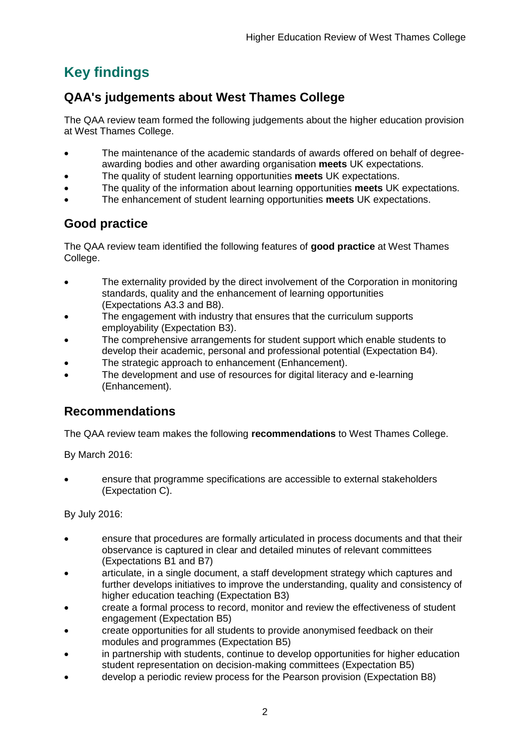## <span id="page-2-0"></span>**Key findings**

## <span id="page-2-1"></span>**QAA's judgements about West Thames College**

The QAA review team formed the following judgements about the higher education provision at West Thames College.

- The maintenance of the academic standards of awards offered on behalf of degreeawarding bodies and other awarding organisation **meets** UK expectations.
- The quality of student learning opportunities **meets** UK expectations.
- The quality of the information about learning opportunities **meets** UK expectations.
- The enhancement of student learning opportunities **meets** UK expectations.

## <span id="page-2-2"></span>**Good practice**

The QAA review team identified the following features of **good practice** at West Thames College.

- The externality provided by the direct involvement of the Corporation in monitoring standards, quality and the enhancement of learning opportunities (Expectations A3.3 and B8).
- The engagement with industry that ensures that the curriculum supports employability (Expectation B3).
- The comprehensive arrangements for student support which enable students to develop their academic, personal and professional potential (Expectation B4).
- The strategic approach to enhancement (Enhancement).
- The development and use of resources for digital literacy and e-learning (Enhancement).

## <span id="page-2-3"></span>**Recommendations**

The QAA review team makes the following **recommendations** to West Thames College.

By March 2016:

 ensure that programme specifications are accessible to external stakeholders (Expectation C).

By July 2016:

- ensure that procedures are formally articulated in process documents and that their observance is captured in clear and detailed minutes of relevant committees (Expectations B1 and B7)
- articulate, in a single document, a staff development strategy which captures and further develops initiatives to improve the understanding, quality and consistency of higher education teaching (Expectation B3)
- create a formal process to record, monitor and review the effectiveness of student engagement (Expectation B5)
- create opportunities for all students to provide anonymised feedback on their modules and programmes (Expectation B5)
- in partnership with students, continue to develop opportunities for higher education student representation on decision-making committees (Expectation B5)
- develop a periodic review process for the Pearson provision (Expectation B8)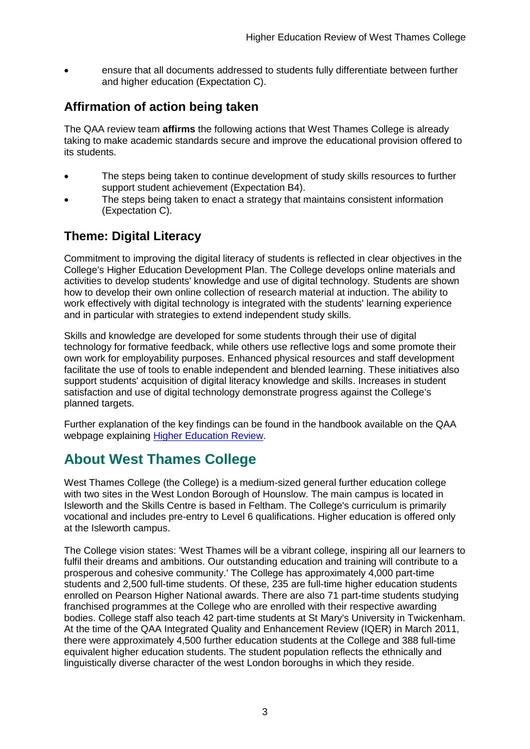ensure that all documents addressed to students fully differentiate between further and higher education (Expectation C).

## <span id="page-3-0"></span>**Affirmation of action being taken**

The QAA review team **affirms** the following actions that West Thames College is already taking to make academic standards secure and improve the educational provision offered to its students.

- The steps being taken to continue development of study skills resources to further support student achievement (Expectation B4).
- The steps being taken to enact a strategy that maintains consistent information (Expectation C).

## <span id="page-3-1"></span>**Theme: Digital Literacy**

Commitment to improving the digital literacy of students is reflected in clear objectives in the College's Higher Education Development Plan. The College develops online materials and activities to develop students' knowledge and use of digital technology. Students are shown how to develop their own online collection of research material at induction. The ability to work effectively with digital technology is integrated with the students' learning experience and in particular with strategies to extend independent study skills.

Skills and knowledge are developed for some students through their use of digital technology for formative feedback, while others use reflective logs and some promote their own work for employability purposes. Enhanced physical resources and staff development facilitate the use of tools to enable independent and blended learning. These initiatives also support students' acquisition of digital literacy knowledge and skills. Increases in student satisfaction and use of digital technology demonstrate progress against the College's planned targets.

Further explanation of the key findings can be found in the handbook available on the QAA webpage explaining [Higher Education Review.](http://www.qaa.ac.uk/reviews-and-reports/how-we-review-higher-education/higher-education-review)

## <span id="page-3-2"></span>**About West Thames College**

West Thames College (the College) is a medium-sized general further education college with two sites in the West London Borough of Hounslow. The main campus is located in Isleworth and the Skills Centre is based in Feltham. The College's curriculum is primarily vocational and includes pre-entry to Level 6 qualifications. Higher education is offered only at the Isleworth campus.

The College vision states: 'West Thames will be a vibrant college, inspiring all our learners to fulfil their dreams and ambitions. Our outstanding education and training will contribute to a prosperous and cohesive community.' The College has approximately 4,000 part-time students and 2,500 full-time students. Of these, 235 are full-time higher education students enrolled on Pearson Higher National awards. There are also 71 part-time students studying franchised programmes at the College who are enrolled with their respective awarding bodies. College staff also teach 42 part-time students at St Mary's University in Twickenham. At the time of the QAA Integrated Quality and Enhancement Review (IQER) in March 2011, there were approximately 4,500 further education students at the College and 388 full-time equivalent higher education students. The student population reflects the ethnically and linguistically diverse character of the west London boroughs in which they reside.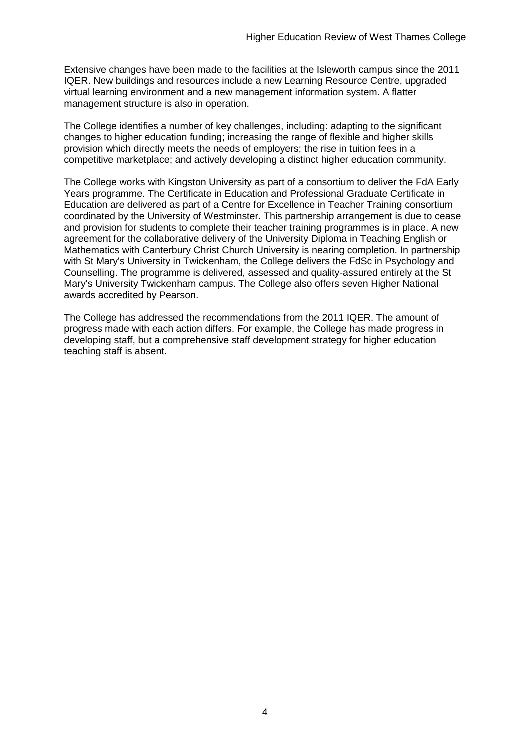Extensive changes have been made to the facilities at the Isleworth campus since the 2011 IQER. New buildings and resources include a new Learning Resource Centre, upgraded virtual learning environment and a new management information system. A flatter management structure is also in operation.

The College identifies a number of key challenges, including: adapting to the significant changes to higher education funding; increasing the range of flexible and higher skills provision which directly meets the needs of employers; the rise in tuition fees in a competitive marketplace; and actively developing a distinct higher education community.

The College works with Kingston University as part of a consortium to deliver the FdA Early Years programme. The Certificate in Education and Professional Graduate Certificate in Education are delivered as part of a Centre for Excellence in Teacher Training consortium coordinated by the University of Westminster. This partnership arrangement is due to cease and provision for students to complete their teacher training programmes is in place. A new agreement for the collaborative delivery of the University Diploma in Teaching English or Mathematics with Canterbury Christ Church University is nearing completion. In partnership with St Mary's University in Twickenham, the College delivers the FdSc in Psychology and Counselling. The programme is delivered, assessed and quality-assured entirely at the St Mary's University Twickenham campus. The College also offers seven Higher National awards accredited by Pearson.

The College has addressed the recommendations from the 2011 IQER. The amount of progress made with each action differs. For example, the College has made progress in developing staff, but a comprehensive staff development strategy for higher education teaching staff is absent.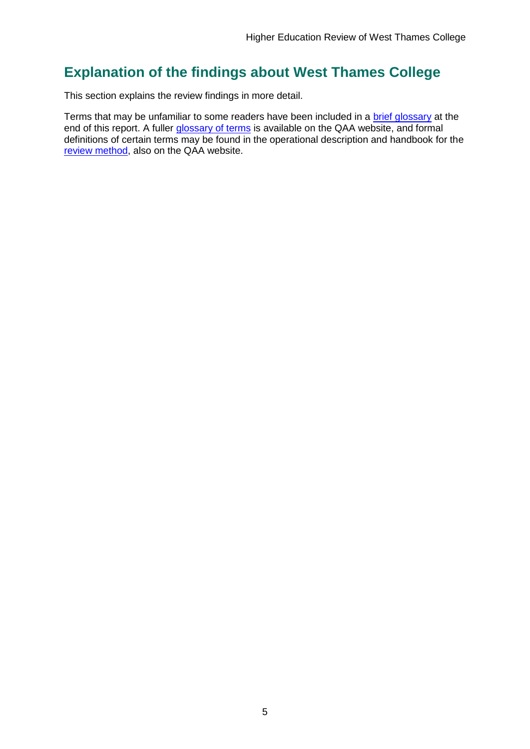## <span id="page-5-0"></span>**Explanation of the findings about West Thames College**

This section explains the review findings in more detail.

Terms that may be unfamiliar to some readers have been included in a [brief glossary](#page-46-1) at the end of this report. A fuller [glossary of terms](http://www.qaa.ac.uk/Pages/GlossaryEN.aspx) is available on the QAA website, and formal definitions of certain terms may be found in the operational description and handbook for the [review method,](http://www.qaa.ac.uk/reviews-and-reports/how-we-review-higher-education/higher-education-review) also on the QAA website.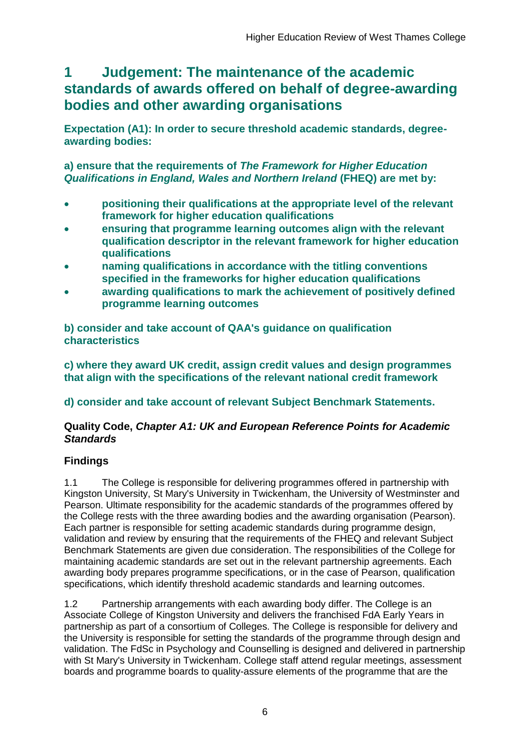## <span id="page-6-0"></span>**1 Judgement: The maintenance of the academic standards of awards offered on behalf of degree-awarding bodies and other awarding organisations**

**Expectation (A1): In order to secure threshold academic standards, degreeawarding bodies:** 

**a) ensure that the requirements of** *The Framework for Higher Education Qualifications in England, Wales and Northern Ireland* **(FHEQ) are met by:**

- **positioning their qualifications at the appropriate level of the relevant framework for higher education qualifications**
- **ensuring that programme learning outcomes align with the relevant qualification descriptor in the relevant framework for higher education qualifications**
- **naming qualifications in accordance with the titling conventions specified in the frameworks for higher education qualifications**
- **awarding qualifications to mark the achievement of positively defined programme learning outcomes**

**b) consider and take account of QAA's guidance on qualification characteristics** 

**c) where they award UK credit, assign credit values and design programmes that align with the specifications of the relevant national credit framework** 

**d) consider and take account of relevant Subject Benchmark Statements.**

### **Quality Code,** *Chapter A1: UK and European Reference Points for Academic Standards*

## **Findings**

1.1 The College is responsible for delivering programmes offered in partnership with Kingston University, St Mary's University in Twickenham, the University of Westminster and Pearson. Ultimate responsibility for the academic standards of the programmes offered by the College rests with the three awarding bodies and the awarding organisation (Pearson). Each partner is responsible for setting academic standards during programme design, validation and review by ensuring that the requirements of the FHEQ and relevant Subject Benchmark Statements are given due consideration. The responsibilities of the College for maintaining academic standards are set out in the relevant partnership agreements. Each awarding body prepares programme specifications, or in the case of Pearson, qualification specifications, which identify threshold academic standards and learning outcomes.

1.2 Partnership arrangements with each awarding body differ. The College is an Associate College of Kingston University and delivers the franchised FdA Early Years in partnership as part of a consortium of Colleges. The College is responsible for delivery and the University is responsible for setting the standards of the programme through design and validation. The FdSc in Psychology and Counselling is designed and delivered in partnership with St Mary's University in Twickenham. College staff attend regular meetings, assessment boards and programme boards to quality-assure elements of the programme that are the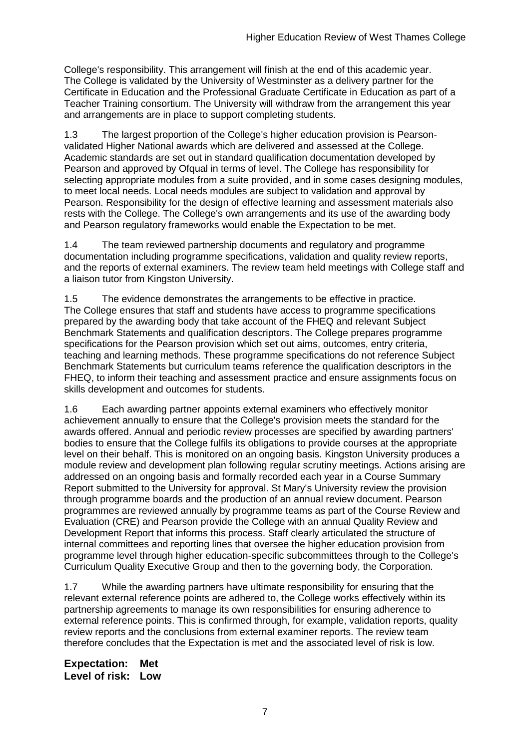College's responsibility. This arrangement will finish at the end of this academic year. The College is validated by the University of Westminster as a delivery partner for the Certificate in Education and the Professional Graduate Certificate in Education as part of a Teacher Training consortium. The University will withdraw from the arrangement this year and arrangements are in place to support completing students.

1.3 The largest proportion of the College's higher education provision is Pearsonvalidated Higher National awards which are delivered and assessed at the College. Academic standards are set out in standard qualification documentation developed by Pearson and approved by Ofqual in terms of level. The College has responsibility for selecting appropriate modules from a suite provided, and in some cases designing modules, to meet local needs. Local needs modules are subject to validation and approval by Pearson. Responsibility for the design of effective learning and assessment materials also rests with the College. The College's own arrangements and its use of the awarding body and Pearson regulatory frameworks would enable the Expectation to be met.

1.4 The team reviewed partnership documents and regulatory and programme documentation including programme specifications, validation and quality review reports, and the reports of external examiners. The review team held meetings with College staff and a liaison tutor from Kingston University.

1.5 The evidence demonstrates the arrangements to be effective in practice. The College ensures that staff and students have access to programme specifications prepared by the awarding body that take account of the FHEQ and relevant Subject Benchmark Statements and qualification descriptors. The College prepares programme specifications for the Pearson provision which set out aims, outcomes, entry criteria, teaching and learning methods. These programme specifications do not reference Subject Benchmark Statements but curriculum teams reference the qualification descriptors in the FHEQ, to inform their teaching and assessment practice and ensure assignments focus on skills development and outcomes for students.

1.6 Each awarding partner appoints external examiners who effectively monitor achievement annually to ensure that the College's provision meets the standard for the awards offered. Annual and periodic review processes are specified by awarding partners' bodies to ensure that the College fulfils its obligations to provide courses at the appropriate level on their behalf. This is monitored on an ongoing basis. Kingston University produces a module review and development plan following regular scrutiny meetings. Actions arising are addressed on an ongoing basis and formally recorded each year in a Course Summary Report submitted to the University for approval. St Mary's University review the provision through programme boards and the production of an annual review document. Pearson programmes are reviewed annually by programme teams as part of the Course Review and Evaluation (CRE) and Pearson provide the College with an annual Quality Review and Development Report that informs this process. Staff clearly articulated the structure of internal committees and reporting lines that oversee the higher education provision from programme level through higher education-specific subcommittees through to the College's Curriculum Quality Executive Group and then to the governing body, the Corporation.

1.7 While the awarding partners have ultimate responsibility for ensuring that the relevant external reference points are adhered to, the College works effectively within its partnership agreements to manage its own responsibilities for ensuring adherence to external reference points. This is confirmed through, for example, validation reports, quality review reports and the conclusions from external examiner reports. The review team therefore concludes that the Expectation is met and the associated level of risk is low.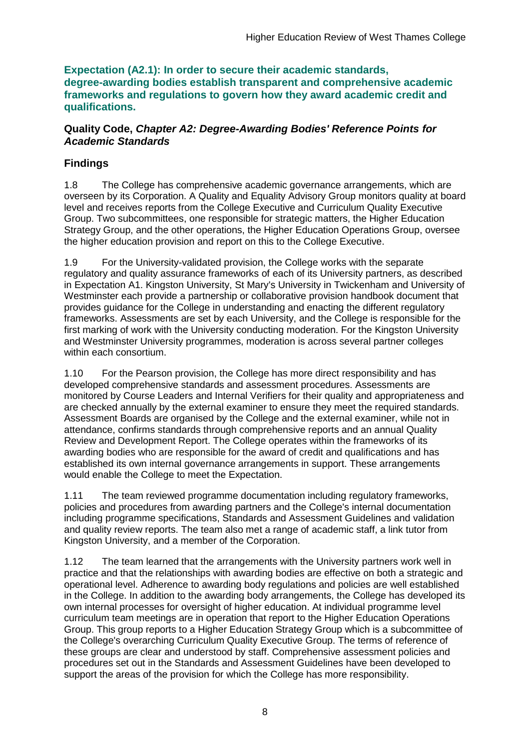**Expectation (A2.1): In order to secure their academic standards, degree-awarding bodies establish transparent and comprehensive academic frameworks and regulations to govern how they award academic credit and qualifications.**

#### **Quality Code,** *Chapter A2: Degree-Awarding Bodies' Reference Points for Academic Standards*

## **Findings**

1.8 The College has comprehensive academic governance arrangements, which are overseen by its Corporation. A Quality and Equality Advisory Group monitors quality at board level and receives reports from the College Executive and Curriculum Quality Executive Group. Two subcommittees, one responsible for strategic matters, the Higher Education Strategy Group, and the other operations, the Higher Education Operations Group, oversee the higher education provision and report on this to the College Executive.

1.9 For the University-validated provision, the College works with the separate regulatory and quality assurance frameworks of each of its University partners, as described in Expectation A1. Kingston University, St Mary's University in Twickenham and University of Westminster each provide a partnership or collaborative provision handbook document that provides guidance for the College in understanding and enacting the different regulatory frameworks. Assessments are set by each University, and the College is responsible for the first marking of work with the University conducting moderation. For the Kingston University and Westminster University programmes, moderation is across several partner colleges within each consortium.

1.10 For the Pearson provision, the College has more direct responsibility and has developed comprehensive standards and assessment procedures. Assessments are monitored by Course Leaders and Internal Verifiers for their quality and appropriateness and are checked annually by the external examiner to ensure they meet the required standards. Assessment Boards are organised by the College and the external examiner, while not in attendance, confirms standards through comprehensive reports and an annual Quality Review and Development Report. The College operates within the frameworks of its awarding bodies who are responsible for the award of credit and qualifications and has established its own internal governance arrangements in support. These arrangements would enable the College to meet the Expectation.

1.11 The team reviewed programme documentation including regulatory frameworks, policies and procedures from awarding partners and the College's internal documentation including programme specifications, Standards and Assessment Guidelines and validation and quality review reports. The team also met a range of academic staff, a link tutor from Kingston University, and a member of the Corporation.

1.12 The team learned that the arrangements with the University partners work well in practice and that the relationships with awarding bodies are effective on both a strategic and operational level. Adherence to awarding body regulations and policies are well established in the College. In addition to the awarding body arrangements, the College has developed its own internal processes for oversight of higher education. At individual programme level curriculum team meetings are in operation that report to the Higher Education Operations Group. This group reports to a Higher Education Strategy Group which is a subcommittee of the College's overarching Curriculum Quality Executive Group. The terms of reference of these groups are clear and understood by staff. Comprehensive assessment policies and procedures set out in the Standards and Assessment Guidelines have been developed to support the areas of the provision for which the College has more responsibility.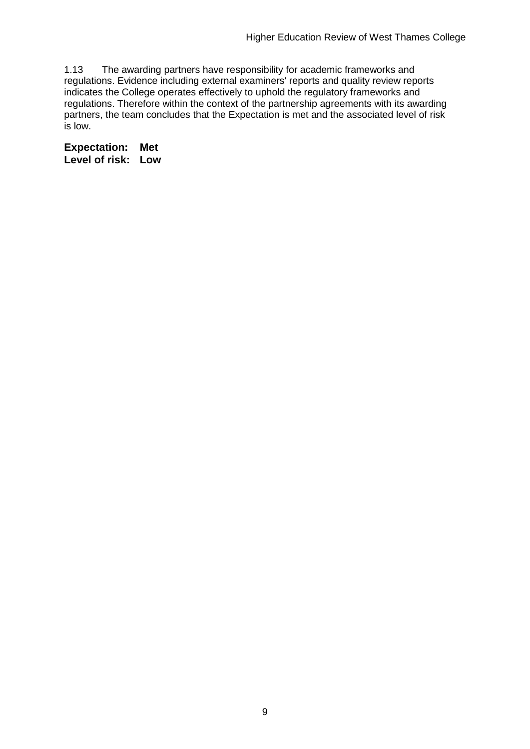1.13 The awarding partners have responsibility for academic frameworks and regulations. Evidence including external examiners' reports and quality review reports indicates the College operates effectively to uphold the regulatory frameworks and regulations. Therefore within the context of the partnership agreements with its awarding partners, the team concludes that the Expectation is met and the associated level of risk is low.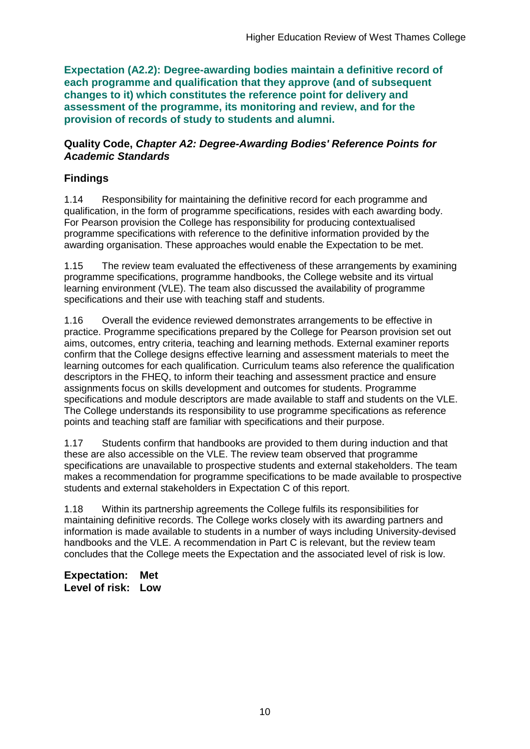**Expectation (A2.2): Degree-awarding bodies maintain a definitive record of each programme and qualification that they approve (and of subsequent changes to it) which constitutes the reference point for delivery and assessment of the programme, its monitoring and review, and for the provision of records of study to students and alumni.** 

#### **Quality Code,** *Chapter A2: Degree-Awarding Bodies' Reference Points for Academic Standards*

## **Findings**

1.14 Responsibility for maintaining the definitive record for each programme and qualification, in the form of programme specifications, resides with each awarding body. For Pearson provision the College has responsibility for producing contextualised programme specifications with reference to the definitive information provided by the awarding organisation. These approaches would enable the Expectation to be met.

1.15 The review team evaluated the effectiveness of these arrangements by examining programme specifications, programme handbooks, the College website and its virtual learning environment (VLE). The team also discussed the availability of programme specifications and their use with teaching staff and students.

1.16 Overall the evidence reviewed demonstrates arrangements to be effective in practice. Programme specifications prepared by the College for Pearson provision set out aims, outcomes, entry criteria, teaching and learning methods. External examiner reports confirm that the College designs effective learning and assessment materials to meet the learning outcomes for each qualification. Curriculum teams also reference the qualification descriptors in the FHEQ, to inform their teaching and assessment practice and ensure assignments focus on skills development and outcomes for students. Programme specifications and module descriptors are made available to staff and students on the VLE. The College understands its responsibility to use programme specifications as reference points and teaching staff are familiar with specifications and their purpose.

1.17 Students confirm that handbooks are provided to them during induction and that these are also accessible on the VLE. The review team observed that programme specifications are unavailable to prospective students and external stakeholders. The team makes a recommendation for programme specifications to be made available to prospective students and external stakeholders in Expectation C of this report.

1.18 Within its partnership agreements the College fulfils its responsibilities for maintaining definitive records. The College works closely with its awarding partners and information is made available to students in a number of ways including University-devised handbooks and the VLE. A recommendation in Part C is relevant, but the review team concludes that the College meets the Expectation and the associated level of risk is low.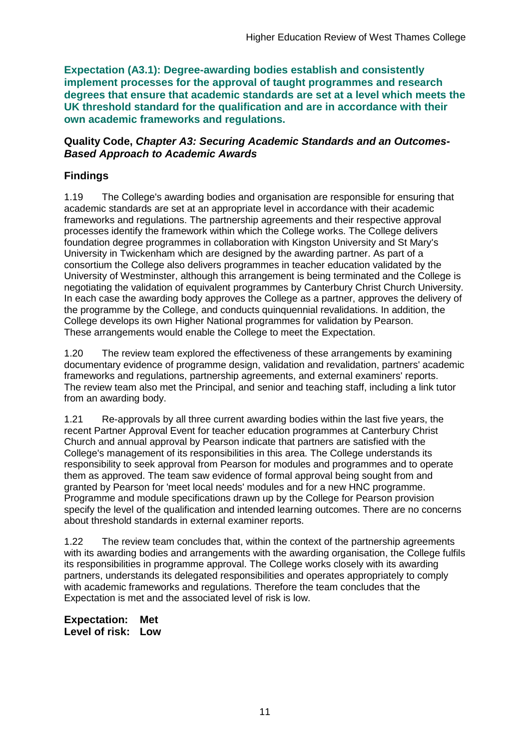**Expectation (A3.1): Degree-awarding bodies establish and consistently implement processes for the approval of taught programmes and research degrees that ensure that academic standards are set at a level which meets the UK threshold standard for the qualification and are in accordance with their own academic frameworks and regulations.**

#### **Quality Code,** *Chapter A3: Securing Academic Standards and an Outcomes-Based Approach to Academic Awards*

## **Findings**

1.19 The College's awarding bodies and organisation are responsible for ensuring that academic standards are set at an appropriate level in accordance with their academic frameworks and regulations. The partnership agreements and their respective approval processes identify the framework within which the College works. The College delivers foundation degree programmes in collaboration with Kingston University and St Mary's University in Twickenham which are designed by the awarding partner. As part of a consortium the College also delivers programmes in teacher education validated by the University of Westminster, although this arrangement is being terminated and the College is negotiating the validation of equivalent programmes by Canterbury Christ Church University. In each case the awarding body approves the College as a partner, approves the delivery of the programme by the College, and conducts quinquennial revalidations. In addition, the College develops its own Higher National programmes for validation by Pearson. These arrangements would enable the College to meet the Expectation.

1.20 The review team explored the effectiveness of these arrangements by examining documentary evidence of programme design, validation and revalidation, partners' academic frameworks and regulations, partnership agreements, and external examiners' reports. The review team also met the Principal, and senior and teaching staff, including a link tutor from an awarding body.

1.21 Re-approvals by all three current awarding bodies within the last five years, the recent Partner Approval Event for teacher education programmes at Canterbury Christ Church and annual approval by Pearson indicate that partners are satisfied with the College's management of its responsibilities in this area. The College understands its responsibility to seek approval from Pearson for modules and programmes and to operate them as approved. The team saw evidence of formal approval being sought from and granted by Pearson for 'meet local needs' modules and for a new HNC programme. Programme and module specifications drawn up by the College for Pearson provision specify the level of the qualification and intended learning outcomes. There are no concerns about threshold standards in external examiner reports.

1.22 The review team concludes that, within the context of the partnership agreements with its awarding bodies and arrangements with the awarding organisation, the College fulfils its responsibilities in programme approval. The College works closely with its awarding partners, understands its delegated responsibilities and operates appropriately to comply with academic frameworks and regulations. Therefore the team concludes that the Expectation is met and the associated level of risk is low.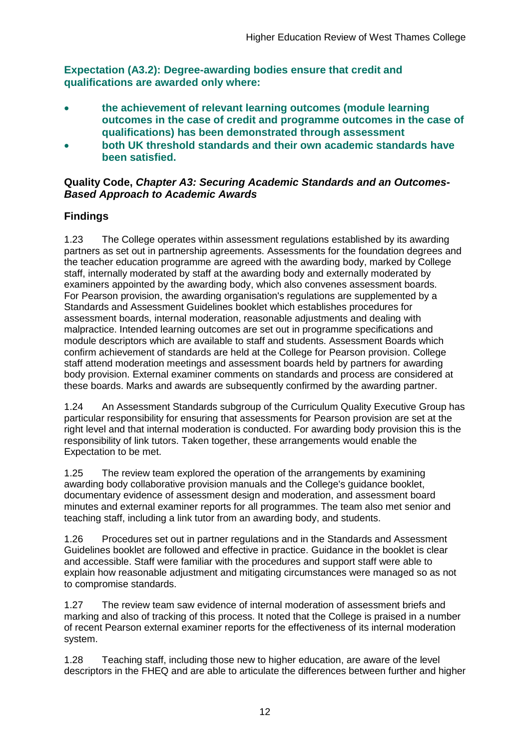**Expectation (A3.2): Degree-awarding bodies ensure that credit and qualifications are awarded only where:** 

- **the achievement of relevant learning outcomes (module learning outcomes in the case of credit and programme outcomes in the case of qualifications) has been demonstrated through assessment**
- **both UK threshold standards and their own academic standards have been satisfied.**

#### **Quality Code,** *Chapter A3: Securing Academic Standards and an Outcomes-Based Approach to Academic Awards*

## **Findings**

1.23 The College operates within assessment regulations established by its awarding partners as set out in partnership agreements. Assessments for the foundation degrees and the teacher education programme are agreed with the awarding body, marked by College staff, internally moderated by staff at the awarding body and externally moderated by examiners appointed by the awarding body, which also convenes assessment boards. For Pearson provision, the awarding organisation's regulations are supplemented by a Standards and Assessment Guidelines booklet which establishes procedures for assessment boards, internal moderation, reasonable adjustments and dealing with malpractice. Intended learning outcomes are set out in programme specifications and module descriptors which are available to staff and students. Assessment Boards which confirm achievement of standards are held at the College for Pearson provision. College staff attend moderation meetings and assessment boards held by partners for awarding body provision. External examiner comments on standards and process are considered at these boards. Marks and awards are subsequently confirmed by the awarding partner.

1.24 An Assessment Standards subgroup of the Curriculum Quality Executive Group has particular responsibility for ensuring that assessments for Pearson provision are set at the right level and that internal moderation is conducted. For awarding body provision this is the responsibility of link tutors. Taken together, these arrangements would enable the Expectation to be met.

1.25 The review team explored the operation of the arrangements by examining awarding body collaborative provision manuals and the College's guidance booklet, documentary evidence of assessment design and moderation, and assessment board minutes and external examiner reports for all programmes. The team also met senior and teaching staff, including a link tutor from an awarding body, and students.

1.26 Procedures set out in partner regulations and in the Standards and Assessment Guidelines booklet are followed and effective in practice. Guidance in the booklet is clear and accessible. Staff were familiar with the procedures and support staff were able to explain how reasonable adjustment and mitigating circumstances were managed so as not to compromise standards.

1.27 The review team saw evidence of internal moderation of assessment briefs and marking and also of tracking of this process. It noted that the College is praised in a number of recent Pearson external examiner reports for the effectiveness of its internal moderation system.

1.28 Teaching staff, including those new to higher education, are aware of the level descriptors in the FHEQ and are able to articulate the differences between further and higher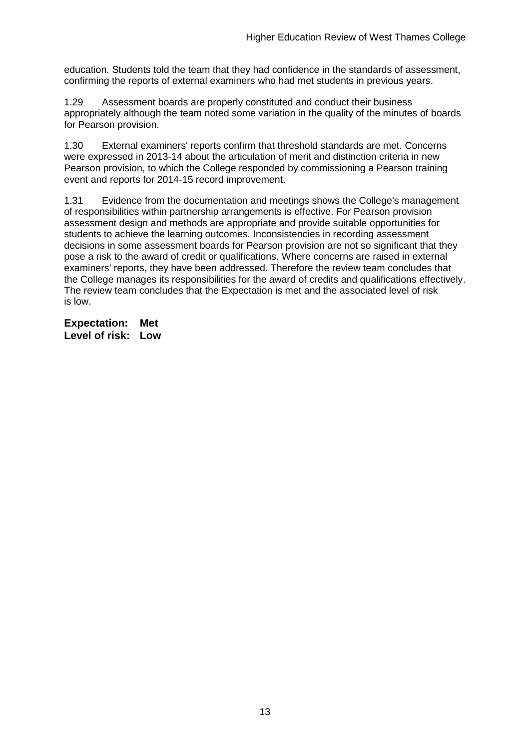education. Students told the team that they had confidence in the standards of assessment, confirming the reports of external examiners who had met students in previous years.

1.29 Assessment boards are properly constituted and conduct their business appropriately although the team noted some variation in the quality of the minutes of boards for Pearson provision.

1.30 External examiners' reports confirm that threshold standards are met. Concerns were expressed in 2013-14 about the articulation of merit and distinction criteria in new Pearson provision, to which the College responded by commissioning a Pearson training event and reports for 2014-15 record improvement.

1.31 Evidence from the documentation and meetings shows the College's management of responsibilities within partnership arrangements is effective. For Pearson provision assessment design and methods are appropriate and provide suitable opportunities for students to achieve the learning outcomes. Inconsistencies in recording assessment decisions in some assessment boards for Pearson provision are not so significant that they pose a risk to the award of credit or qualifications. Where concerns are raised in external examiners' reports, they have been addressed. Therefore the review team concludes that the College manages its responsibilities for the award of credits and qualifications effectively. The review team concludes that the Expectation is met and the associated level of risk is low.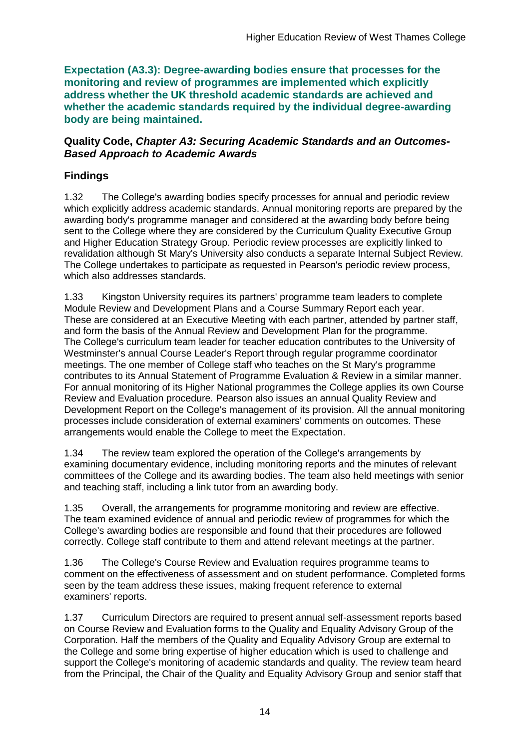**Expectation (A3.3): Degree-awarding bodies ensure that processes for the monitoring and review of programmes are implemented which explicitly address whether the UK threshold academic standards are achieved and whether the academic standards required by the individual degree-awarding body are being maintained.**

#### **Quality Code,** *Chapter A3: Securing Academic Standards and an Outcomes-Based Approach to Academic Awards*

## **Findings**

1.32 The College's awarding bodies specify processes for annual and periodic review which explicitly address academic standards. Annual monitoring reports are prepared by the awarding body's programme manager and considered at the awarding body before being sent to the College where they are considered by the Curriculum Quality Executive Group and Higher Education Strategy Group. Periodic review processes are explicitly linked to revalidation although St Mary's University also conducts a separate Internal Subject Review. The College undertakes to participate as requested in Pearson's periodic review process, which also addresses standards.

1.33 Kingston University requires its partners' programme team leaders to complete Module Review and Development Plans and a Course Summary Report each year. These are considered at an Executive Meeting with each partner, attended by partner staff, and form the basis of the Annual Review and Development Plan for the programme. The College's curriculum team leader for teacher education contributes to the University of Westminster's annual Course Leader's Report through regular programme coordinator meetings. The one member of College staff who teaches on the St Mary's programme contributes to its Annual Statement of Programme Evaluation & Review in a similar manner. For annual monitoring of its Higher National programmes the College applies its own Course Review and Evaluation procedure. Pearson also issues an annual Quality Review and Development Report on the College's management of its provision. All the annual monitoring processes include consideration of external examiners' comments on outcomes. These arrangements would enable the College to meet the Expectation.

1.34 The review team explored the operation of the College's arrangements by examining documentary evidence, including monitoring reports and the minutes of relevant committees of the College and its awarding bodies. The team also held meetings with senior and teaching staff, including a link tutor from an awarding body.

1.35 Overall, the arrangements for programme monitoring and review are effective. The team examined evidence of annual and periodic review of programmes for which the College's awarding bodies are responsible and found that their procedures are followed correctly. College staff contribute to them and attend relevant meetings at the partner.

1.36 The College's Course Review and Evaluation requires programme teams to comment on the effectiveness of assessment and on student performance. Completed forms seen by the team address these issues, making frequent reference to external examiners' reports.

1.37 Curriculum Directors are required to present annual self-assessment reports based on Course Review and Evaluation forms to the Quality and Equality Advisory Group of the Corporation. Half the members of the Quality and Equality Advisory Group are external to the College and some bring expertise of higher education which is used to challenge and support the College's monitoring of academic standards and quality. The review team heard from the Principal, the Chair of the Quality and Equality Advisory Group and senior staff that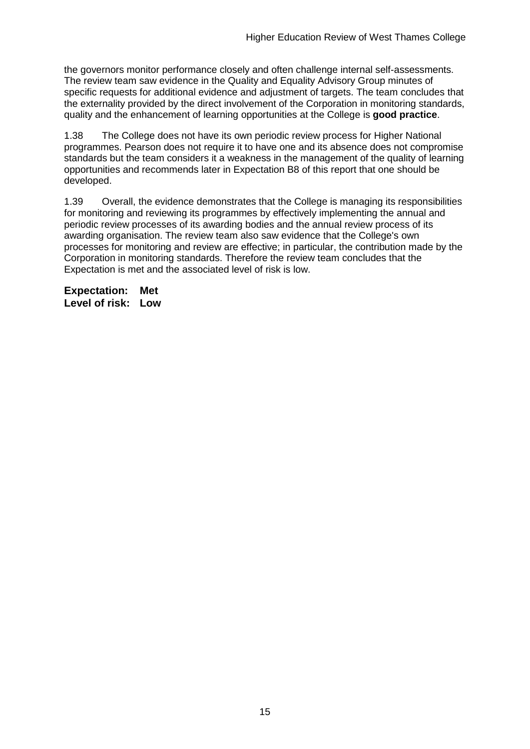the governors monitor performance closely and often challenge internal self-assessments. The review team saw evidence in the Quality and Equality Advisory Group minutes of specific requests for additional evidence and adjustment of targets. The team concludes that the externality provided by the direct involvement of the Corporation in monitoring standards, quality and the enhancement of learning opportunities at the College is **good practice**.

1.38 The College does not have its own periodic review process for Higher National programmes. Pearson does not require it to have one and its absence does not compromise standards but the team considers it a weakness in the management of the quality of learning opportunities and recommends later in Expectation B8 of this report that one should be developed.

1.39 Overall, the evidence demonstrates that the College is managing its responsibilities for monitoring and reviewing its programmes by effectively implementing the annual and periodic review processes of its awarding bodies and the annual review process of its awarding organisation. The review team also saw evidence that the College's own processes for monitoring and review are effective; in particular, the contribution made by the Corporation in monitoring standards. Therefore the review team concludes that the Expectation is met and the associated level of risk is low.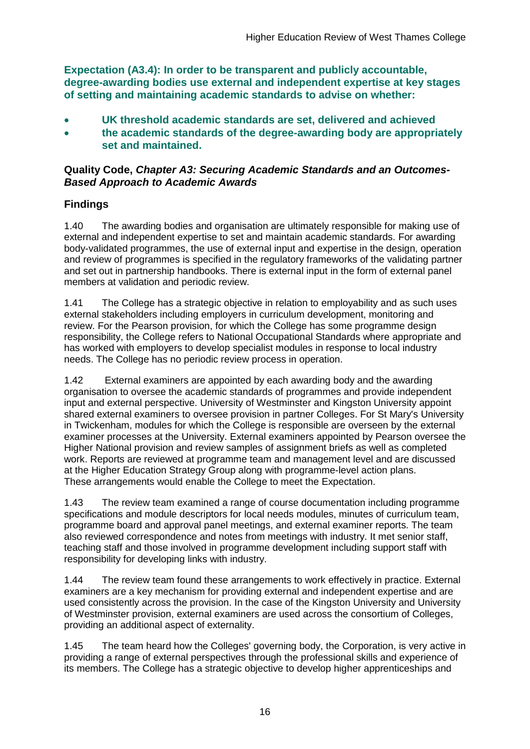**Expectation (A3.4): In order to be transparent and publicly accountable, degree-awarding bodies use external and independent expertise at key stages of setting and maintaining academic standards to advise on whether:**

- **UK threshold academic standards are set, delivered and achieved**
- **the academic standards of the degree-awarding body are appropriately set and maintained.**

### **Quality Code,** *Chapter A3: Securing Academic Standards and an Outcomes-Based Approach to Academic Awards*

### **Findings**

1.40 The awarding bodies and organisation are ultimately responsible for making use of external and independent expertise to set and maintain academic standards. For awarding body-validated programmes, the use of external input and expertise in the design, operation and review of programmes is specified in the regulatory frameworks of the validating partner and set out in partnership handbooks. There is external input in the form of external panel members at validation and periodic review.

1.41 The College has a strategic objective in relation to employability and as such uses external stakeholders including employers in curriculum development, monitoring and review. For the Pearson provision, for which the College has some programme design responsibility, the College refers to National Occupational Standards where appropriate and has worked with employers to develop specialist modules in response to local industry needs. The College has no periodic review process in operation.

1.42 External examiners are appointed by each awarding body and the awarding organisation to oversee the academic standards of programmes and provide independent input and external perspective. University of Westminster and Kingston University appoint shared external examiners to oversee provision in partner Colleges. For St Mary's University in Twickenham, modules for which the College is responsible are overseen by the external examiner processes at the University. External examiners appointed by Pearson oversee the Higher National provision and review samples of assignment briefs as well as completed work. Reports are reviewed at programme team and management level and are discussed at the Higher Education Strategy Group along with programme-level action plans. These arrangements would enable the College to meet the Expectation.

1.43 The review team examined a range of course documentation including programme specifications and module descriptors for local needs modules, minutes of curriculum team, programme board and approval panel meetings, and external examiner reports. The team also reviewed correspondence and notes from meetings with industry. It met senior staff, teaching staff and those involved in programme development including support staff with responsibility for developing links with industry.

1.44 The review team found these arrangements to work effectively in practice. External examiners are a key mechanism for providing external and independent expertise and are used consistently across the provision. In the case of the Kingston University and University of Westminster provision, external examiners are used across the consortium of Colleges, providing an additional aspect of externality.

1.45 The team heard how the Colleges' governing body, the Corporation, is very active in providing a range of external perspectives through the professional skills and experience of its members. The College has a strategic objective to develop higher apprenticeships and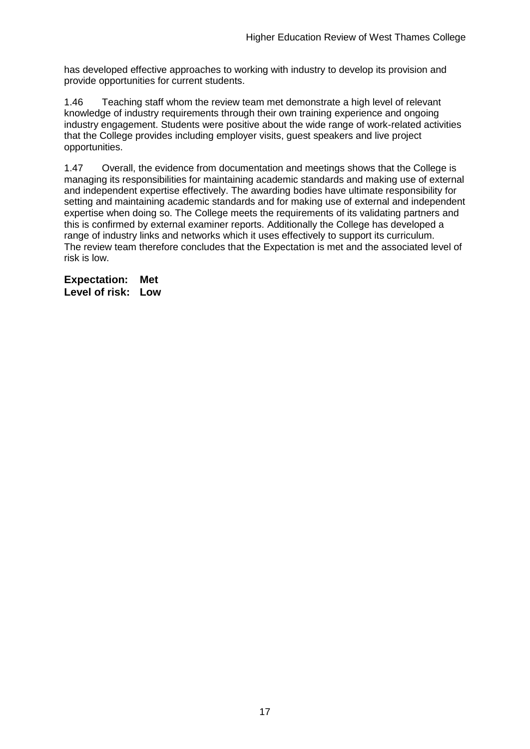has developed effective approaches to working with industry to develop its provision and provide opportunities for current students.

1.46 Teaching staff whom the review team met demonstrate a high level of relevant knowledge of industry requirements through their own training experience and ongoing industry engagement. Students were positive about the wide range of work-related activities that the College provides including employer visits, guest speakers and live project opportunities.

1.47 Overall, the evidence from documentation and meetings shows that the College is managing its responsibilities for maintaining academic standards and making use of external and independent expertise effectively. The awarding bodies have ultimate responsibility for setting and maintaining academic standards and for making use of external and independent expertise when doing so. The College meets the requirements of its validating partners and this is confirmed by external examiner reports. Additionally the College has developed a range of industry links and networks which it uses effectively to support its curriculum. The review team therefore concludes that the Expectation is met and the associated level of risk is low.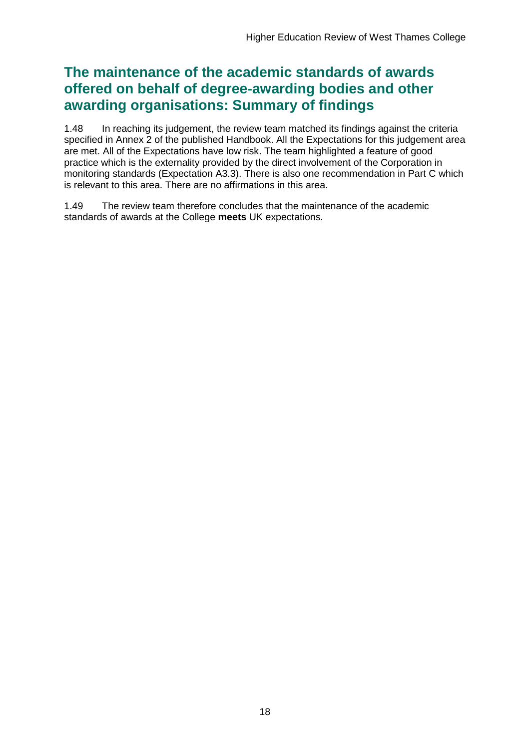## **The maintenance of the academic standards of awards offered on behalf of degree-awarding bodies and other awarding organisations: Summary of findings**

1.48 In reaching its judgement, the review team matched its findings against the criteria specified in Annex 2 of the published Handbook. All the Expectations for this judgement area are met. All of the Expectations have low risk. The team highlighted a feature of good practice which is the externality provided by the direct involvement of the Corporation in monitoring standards (Expectation A3.3). There is also one recommendation in Part C which is relevant to this area. There are no affirmations in this area.

1.49 The review team therefore concludes that the maintenance of the academic standards of awards at the College **meets** UK expectations.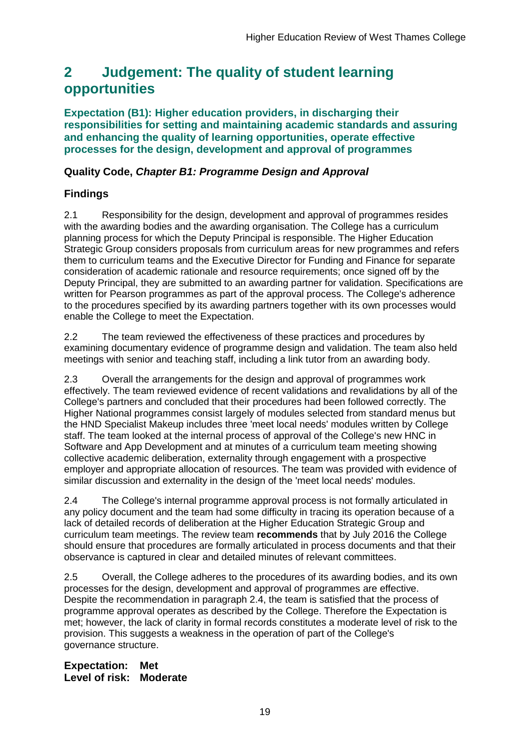## <span id="page-19-0"></span>**2 Judgement: The quality of student learning opportunities**

**Expectation (B1): Higher education providers, in discharging their responsibilities for setting and maintaining academic standards and assuring and enhancing the quality of learning opportunities, operate effective processes for the design, development and approval of programmes**

### **Quality Code,** *Chapter B1: Programme Design and Approval*

## **Findings**

2.1 Responsibility for the design, development and approval of programmes resides with the awarding bodies and the awarding organisation. The College has a curriculum planning process for which the Deputy Principal is responsible. The Higher Education Strategic Group considers proposals from curriculum areas for new programmes and refers them to curriculum teams and the Executive Director for Funding and Finance for separate consideration of academic rationale and resource requirements; once signed off by the Deputy Principal, they are submitted to an awarding partner for validation. Specifications are written for Pearson programmes as part of the approval process. The College's adherence to the procedures specified by its awarding partners together with its own processes would enable the College to meet the Expectation.

2.2 The team reviewed the effectiveness of these practices and procedures by examining documentary evidence of programme design and validation. The team also held meetings with senior and teaching staff, including a link tutor from an awarding body.

2.3 Overall the arrangements for the design and approval of programmes work effectively. The team reviewed evidence of recent validations and revalidations by all of the College's partners and concluded that their procedures had been followed correctly. The Higher National programmes consist largely of modules selected from standard menus but the HND Specialist Makeup includes three 'meet local needs' modules written by College staff. The team looked at the internal process of approval of the College's new HNC in Software and App Development and at minutes of a curriculum team meeting showing collective academic deliberation, externality through engagement with a prospective employer and appropriate allocation of resources. The team was provided with evidence of similar discussion and externality in the design of the 'meet local needs' modules.

2.4 The College's internal programme approval process is not formally articulated in any policy document and the team had some difficulty in tracing its operation because of a lack of detailed records of deliberation at the Higher Education Strategic Group and curriculum team meetings. The review team **recommends** that by July 2016 the College should ensure that procedures are formally articulated in process documents and that their observance is captured in clear and detailed minutes of relevant committees.

2.5 Overall, the College adheres to the procedures of its awarding bodies, and its own processes for the design, development and approval of programmes are effective. Despite the recommendation in paragraph 2.4, the team is satisfied that the process of programme approval operates as described by the College. Therefore the Expectation is met; however, the lack of clarity in formal records constitutes a moderate level of risk to the provision. This suggests a weakness in the operation of part of the College's governance structure.

**Expectation: Met Level of risk: Moderate**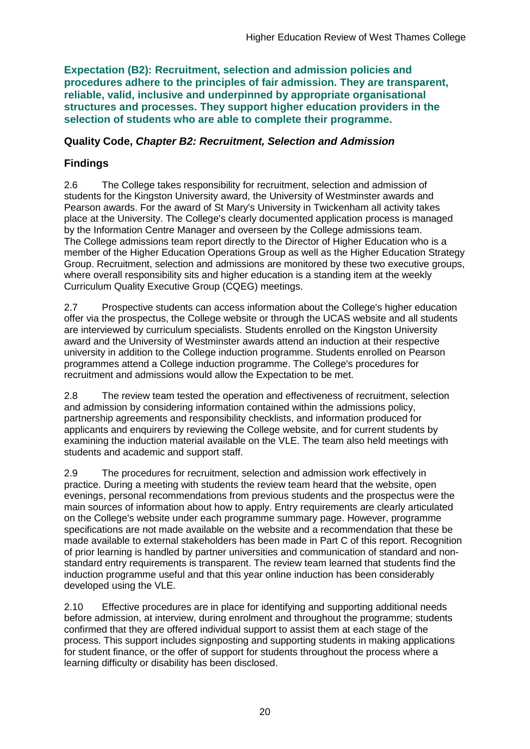**Expectation (B2): Recruitment, selection and admission policies and procedures adhere to the principles of fair admission. They are transparent, reliable, valid, inclusive and underpinned by appropriate organisational structures and processes. They support higher education providers in the selection of students who are able to complete their programme.**

### **Quality Code,** *Chapter B2: Recruitment, Selection and Admission*

## **Findings**

2.6 The College takes responsibility for recruitment, selection and admission of students for the Kingston University award, the University of Westminster awards and Pearson awards. For the award of St Mary's University in Twickenham all activity takes place at the University. The College's clearly documented application process is managed by the Information Centre Manager and overseen by the College admissions team. The College admissions team report directly to the Director of Higher Education who is a member of the Higher Education Operations Group as well as the Higher Education Strategy Group. Recruitment, selection and admissions are monitored by these two executive groups, where overall responsibility sits and higher education is a standing item at the weekly Curriculum Quality Executive Group (CQEG) meetings.

2.7 Prospective students can access information about the College's higher education offer via the prospectus, the College website or through the UCAS website and all students are interviewed by curriculum specialists. Students enrolled on the Kingston University award and the University of Westminster awards attend an induction at their respective university in addition to the College induction programme. Students enrolled on Pearson programmes attend a College induction programme. The College's procedures for recruitment and admissions would allow the Expectation to be met.

2.8 The review team tested the operation and effectiveness of recruitment, selection and admission by considering information contained within the admissions policy, partnership agreements and responsibility checklists, and information produced for applicants and enquirers by reviewing the College website, and for current students by examining the induction material available on the VLE. The team also held meetings with students and academic and support staff.

2.9 The procedures for recruitment, selection and admission work effectively in practice. During a meeting with students the review team heard that the website, open evenings, personal recommendations from previous students and the prospectus were the main sources of information about how to apply. Entry requirements are clearly articulated on the College's website under each programme summary page. However, programme specifications are not made available on the website and a recommendation that these be made available to external stakeholders has been made in Part C of this report. Recognition of prior learning is handled by partner universities and communication of standard and nonstandard entry requirements is transparent. The review team learned that students find the induction programme useful and that this year online induction has been considerably developed using the VLE.

2.10 Effective procedures are in place for identifying and supporting additional needs before admission, at interview, during enrolment and throughout the programme; students confirmed that they are offered individual support to assist them at each stage of the process. This support includes signposting and supporting students in making applications for student finance, or the offer of support for students throughout the process where a learning difficulty or disability has been disclosed.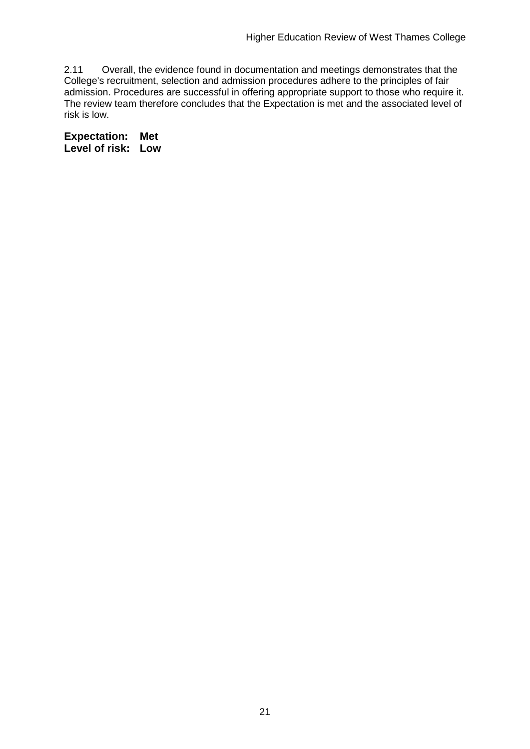2.11 Overall, the evidence found in documentation and meetings demonstrates that the College's recruitment, selection and admission procedures adhere to the principles of fair admission. Procedures are successful in offering appropriate support to those who require it. The review team therefore concludes that the Expectation is met and the associated level of risk is low.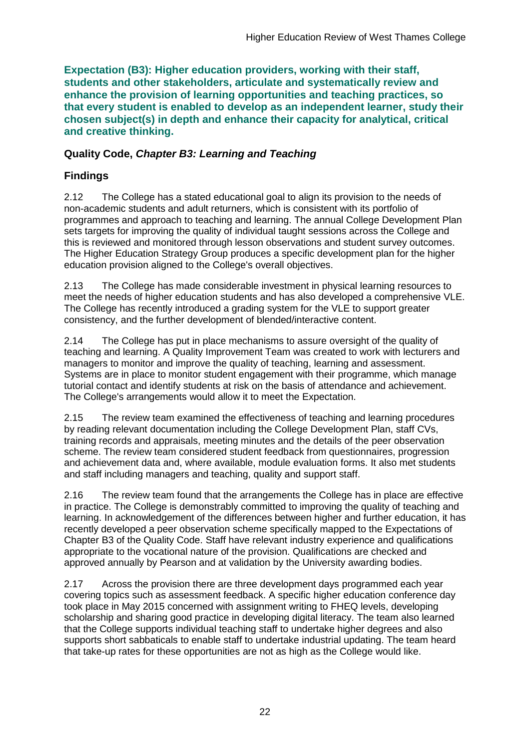**Expectation (B3): Higher education providers, working with their staff, students and other stakeholders, articulate and systematically review and enhance the provision of learning opportunities and teaching practices, so that every student is enabled to develop as an independent learner, study their chosen subject(s) in depth and enhance their capacity for analytical, critical and creative thinking.**

### **Quality Code,** *Chapter B3: Learning and Teaching*

## **Findings**

2.12 The College has a stated educational goal to align its provision to the needs of non-academic students and adult returners, which is consistent with its portfolio of programmes and approach to teaching and learning. The annual College Development Plan sets targets for improving the quality of individual taught sessions across the College and this is reviewed and monitored through lesson observations and student survey outcomes. The Higher Education Strategy Group produces a specific development plan for the higher education provision aligned to the College's overall objectives.

2.13 The College has made considerable investment in physical learning resources to meet the needs of higher education students and has also developed a comprehensive VLE. The College has recently introduced a grading system for the VLE to support greater consistency, and the further development of blended/interactive content.

2.14 The College has put in place mechanisms to assure oversight of the quality of teaching and learning. A Quality Improvement Team was created to work with lecturers and managers to monitor and improve the quality of teaching, learning and assessment. Systems are in place to monitor student engagement with their programme, which manage tutorial contact and identify students at risk on the basis of attendance and achievement. The College's arrangements would allow it to meet the Expectation.

2.15 The review team examined the effectiveness of teaching and learning procedures by reading relevant documentation including the College Development Plan, staff CVs, training records and appraisals, meeting minutes and the details of the peer observation scheme. The review team considered student feedback from questionnaires, progression and achievement data and, where available, module evaluation forms. It also met students and staff including managers and teaching, quality and support staff.

2.16 The review team found that the arrangements the College has in place are effective in practice. The College is demonstrably committed to improving the quality of teaching and learning. In acknowledgement of the differences between higher and further education, it has recently developed a peer observation scheme specifically mapped to the Expectations of Chapter B3 of the Quality Code. Staff have relevant industry experience and qualifications appropriate to the vocational nature of the provision. Qualifications are checked and approved annually by Pearson and at validation by the University awarding bodies.

2.17 Across the provision there are three development days programmed each year covering topics such as assessment feedback. A specific higher education conference day took place in May 2015 concerned with assignment writing to FHEQ levels, developing scholarship and sharing good practice in developing digital literacy. The team also learned that the College supports individual teaching staff to undertake higher degrees and also supports short sabbaticals to enable staff to undertake industrial updating. The team heard that take-up rates for these opportunities are not as high as the College would like.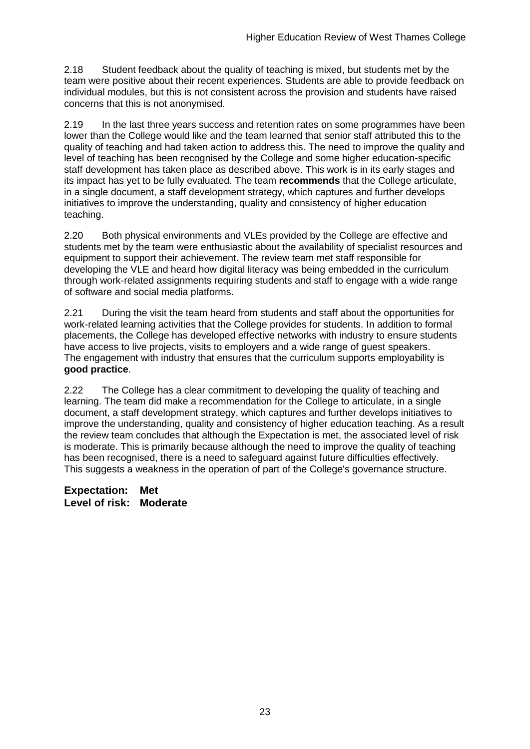2.18 Student feedback about the quality of teaching is mixed, but students met by the team were positive about their recent experiences. Students are able to provide feedback on individual modules, but this is not consistent across the provision and students have raised concerns that this is not anonymised.

2.19 In the last three years success and retention rates on some programmes have been lower than the College would like and the team learned that senior staff attributed this to the quality of teaching and had taken action to address this. The need to improve the quality and level of teaching has been recognised by the College and some higher education-specific staff development has taken place as described above. This work is in its early stages and its impact has yet to be fully evaluated. The team **recommends** that the College articulate, in a single document, a staff development strategy, which captures and further develops initiatives to improve the understanding, quality and consistency of higher education teaching.

2.20 Both physical environments and VLEs provided by the College are effective and students met by the team were enthusiastic about the availability of specialist resources and equipment to support their achievement. The review team met staff responsible for developing the VLE and heard how digital literacy was being embedded in the curriculum through work-related assignments requiring students and staff to engage with a wide range of software and social media platforms.

2.21 During the visit the team heard from students and staff about the opportunities for work-related learning activities that the College provides for students. In addition to formal placements, the College has developed effective networks with industry to ensure students have access to live projects, visits to employers and a wide range of guest speakers. The engagement with industry that ensures that the curriculum supports employability is **good practice**.

2.22 The College has a clear commitment to developing the quality of teaching and learning. The team did make a recommendation for the College to articulate, in a single document, a staff development strategy, which captures and further develops initiatives to improve the understanding, quality and consistency of higher education teaching. As a result the review team concludes that although the Expectation is met, the associated level of risk is moderate. This is primarily because although the need to improve the quality of teaching has been recognised, there is a need to safeguard against future difficulties effectively. This suggests a weakness in the operation of part of the College's governance structure.

**Expectation: Met Level of risk: Moderate**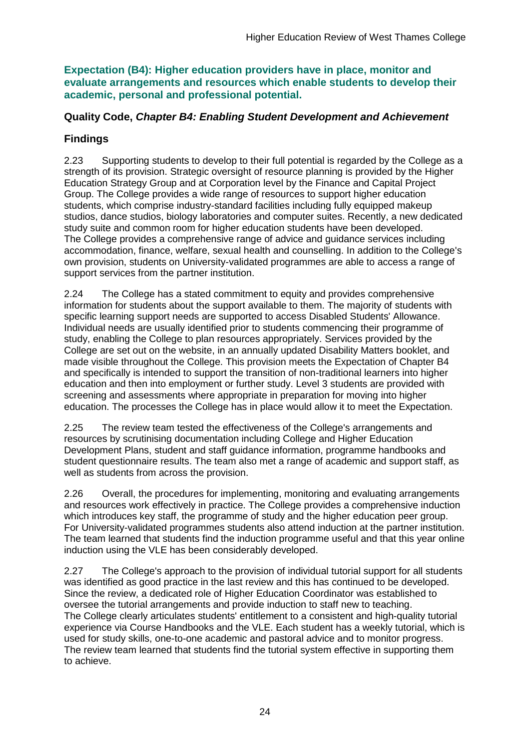**Expectation (B4): Higher education providers have in place, monitor and evaluate arrangements and resources which enable students to develop their academic, personal and professional potential.**

### **Quality Code,** *Chapter B4: Enabling Student Development and Achievement*

### **Findings**

2.23 Supporting students to develop to their full potential is regarded by the College as a strength of its provision. Strategic oversight of resource planning is provided by the Higher Education Strategy Group and at Corporation level by the Finance and Capital Project Group. The College provides a wide range of resources to support higher education students, which comprise industry-standard facilities including fully equipped makeup studios, dance studios, biology laboratories and computer suites. Recently, a new dedicated study suite and common room for higher education students have been developed. The College provides a comprehensive range of advice and guidance services including accommodation, finance, welfare, sexual health and counselling. In addition to the College's own provision, students on University-validated programmes are able to access a range of support services from the partner institution.

2.24 The College has a stated commitment to equity and provides comprehensive information for students about the support available to them. The majority of students with specific learning support needs are supported to access Disabled Students' Allowance. Individual needs are usually identified prior to students commencing their programme of study, enabling the College to plan resources appropriately. Services provided by the College are set out on the website, in an annually updated Disability Matters booklet, and made visible throughout the College. This provision meets the Expectation of Chapter B4 and specifically is intended to support the transition of non-traditional learners into higher education and then into employment or further study. Level 3 students are provided with screening and assessments where appropriate in preparation for moving into higher education. The processes the College has in place would allow it to meet the Expectation.

2.25 The review team tested the effectiveness of the College's arrangements and resources by scrutinising documentation including College and Higher Education Development Plans, student and staff guidance information, programme handbooks and student questionnaire results. The team also met a range of academic and support staff, as well as students from across the provision.

2.26 Overall, the procedures for implementing, monitoring and evaluating arrangements and resources work effectively in practice. The College provides a comprehensive induction which introduces key staff, the programme of study and the higher education peer group. For University-validated programmes students also attend induction at the partner institution. The team learned that students find the induction programme useful and that this year online induction using the VLE has been considerably developed.

2.27 The College's approach to the provision of individual tutorial support for all students was identified as good practice in the last review and this has continued to be developed. Since the review, a dedicated role of Higher Education Coordinator was established to oversee the tutorial arrangements and provide induction to staff new to teaching. The College clearly articulates students' entitlement to a consistent and high-quality tutorial experience via Course Handbooks and the VLE. Each student has a weekly tutorial, which is used for study skills, one-to-one academic and pastoral advice and to monitor progress. The review team learned that students find the tutorial system effective in supporting them to achieve.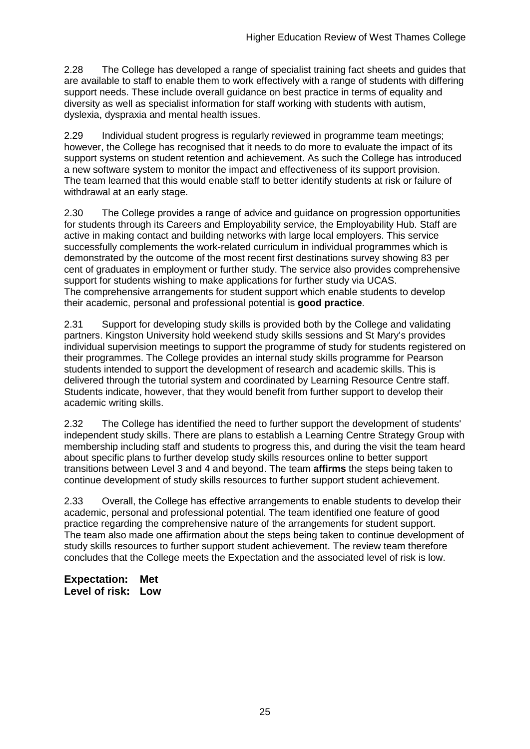2.28 The College has developed a range of specialist training fact sheets and guides that are available to staff to enable them to work effectively with a range of students with differing support needs. These include overall guidance on best practice in terms of equality and diversity as well as specialist information for staff working with students with autism, dyslexia, dyspraxia and mental health issues.

2.29 Individual student progress is regularly reviewed in programme team meetings; however, the College has recognised that it needs to do more to evaluate the impact of its support systems on student retention and achievement. As such the College has introduced a new software system to monitor the impact and effectiveness of its support provision. The team learned that this would enable staff to better identify students at risk or failure of withdrawal at an early stage.

2.30 The College provides a range of advice and guidance on progression opportunities for students through its Careers and Employability service, the Employability Hub. Staff are active in making contact and building networks with large local employers. This service successfully complements the work-related curriculum in individual programmes which is demonstrated by the outcome of the most recent first destinations survey showing 83 per cent of graduates in employment or further study. The service also provides comprehensive support for students wishing to make applications for further study via UCAS. The comprehensive arrangements for student support which enable students to develop their academic, personal and professional potential is **good practice**.

2.31 Support for developing study skills is provided both by the College and validating partners. Kingston University hold weekend study skills sessions and St Mary's provides individual supervision meetings to support the programme of study for students registered on their programmes. The College provides an internal study skills programme for Pearson students intended to support the development of research and academic skills. This is delivered through the tutorial system and coordinated by Learning Resource Centre staff. Students indicate, however, that they would benefit from further support to develop their academic writing skills.

2.32 The College has identified the need to further support the development of students' independent study skills. There are plans to establish a Learning Centre Strategy Group with membership including staff and students to progress this, and during the visit the team heard about specific plans to further develop study skills resources online to better support transitions between Level 3 and 4 and beyond. The team **affirms** the steps being taken to continue development of study skills resources to further support student achievement.

2.33 Overall, the College has effective arrangements to enable students to develop their academic, personal and professional potential. The team identified one feature of good practice regarding the comprehensive nature of the arrangements for student support. The team also made one affirmation about the steps being taken to continue development of study skills resources to further support student achievement. The review team therefore concludes that the College meets the Expectation and the associated level of risk is low.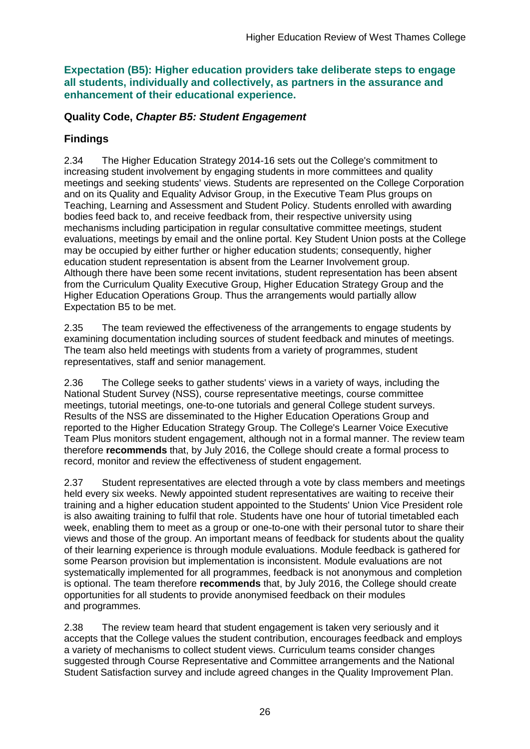**Expectation (B5): Higher education providers take deliberate steps to engage all students, individually and collectively, as partners in the assurance and enhancement of their educational experience.**

### **Quality Code,** *Chapter B5: Student Engagement*

### **Findings**

2.34 The Higher Education Strategy 2014-16 sets out the College's commitment to increasing student involvement by engaging students in more committees and quality meetings and seeking students' views. Students are represented on the College Corporation and on its Quality and Equality Advisor Group, in the Executive Team Plus groups on Teaching, Learning and Assessment and Student Policy. Students enrolled with awarding bodies feed back to, and receive feedback from, their respective university using mechanisms including participation in regular consultative committee meetings, student evaluations, meetings by email and the online portal. Key Student Union posts at the College may be occupied by either further or higher education students; consequently, higher education student representation is absent from the Learner Involvement group. Although there have been some recent invitations, student representation has been absent from the Curriculum Quality Executive Group, Higher Education Strategy Group and the Higher Education Operations Group. Thus the arrangements would partially allow Expectation B5 to be met.

2.35 The team reviewed the effectiveness of the arrangements to engage students by examining documentation including sources of student feedback and minutes of meetings. The team also held meetings with students from a variety of programmes, student representatives, staff and senior management.

2.36 The College seeks to gather students' views in a variety of ways, including the National Student Survey (NSS), course representative meetings, course committee meetings, tutorial meetings, one-to-one tutorials and general College student surveys. Results of the NSS are disseminated to the Higher Education Operations Group and reported to the Higher Education Strategy Group. The College's Learner Voice Executive Team Plus monitors student engagement, although not in a formal manner. The review team therefore **recommends** that, by July 2016, the College should create a formal process to record, monitor and review the effectiveness of student engagement.

2.37 Student representatives are elected through a vote by class members and meetings held every six weeks. Newly appointed student representatives are waiting to receive their training and a higher education student appointed to the Students' Union Vice President role is also awaiting training to fulfil that role. Students have one hour of tutorial timetabled each week, enabling them to meet as a group or one-to-one with their personal tutor to share their views and those of the group. An important means of feedback for students about the quality of their learning experience is through module evaluations. Module feedback is gathered for some Pearson provision but implementation is inconsistent. Module evaluations are not systematically implemented for all programmes, feedback is not anonymous and completion is optional. The team therefore **recommends** that, by July 2016, the College should create opportunities for all students to provide anonymised feedback on their modules and programmes.

2.38 The review team heard that student engagement is taken very seriously and it accepts that the College values the student contribution, encourages feedback and employs a variety of mechanisms to collect student views. Curriculum teams consider changes suggested through Course Representative and Committee arrangements and the National Student Satisfaction survey and include agreed changes in the Quality Improvement Plan.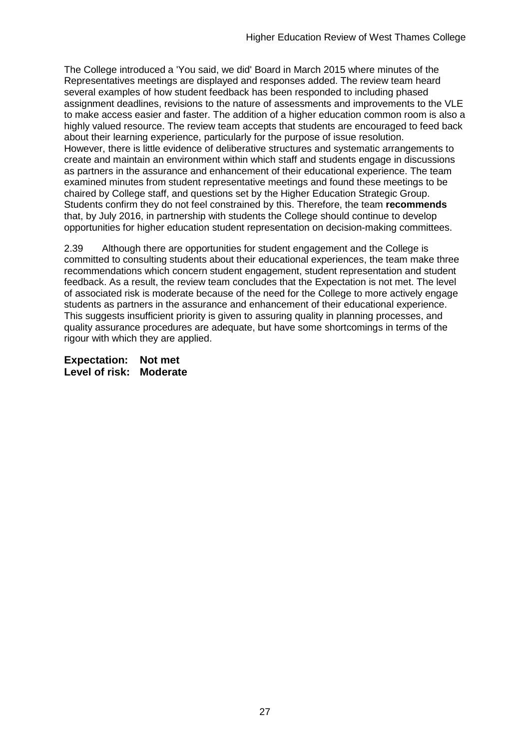The College introduced a 'You said, we did' Board in March 2015 where minutes of the Representatives meetings are displayed and responses added. The review team heard several examples of how student feedback has been responded to including phased assignment deadlines, revisions to the nature of assessments and improvements to the VLE to make access easier and faster. The addition of a higher education common room is also a highly valued resource. The review team accepts that students are encouraged to feed back about their learning experience, particularly for the purpose of issue resolution. However, there is little evidence of deliberative structures and systematic arrangements to create and maintain an environment within which staff and students engage in discussions as partners in the assurance and enhancement of their educational experience. The team examined minutes from student representative meetings and found these meetings to be chaired by College staff, and questions set by the Higher Education Strategic Group. Students confirm they do not feel constrained by this. Therefore, the team **recommends**  that, by July 2016, in partnership with students the College should continue to develop opportunities for higher education student representation on decision-making committees.

2.39 Although there are opportunities for student engagement and the College is committed to consulting students about their educational experiences, the team make three recommendations which concern student engagement, student representation and student feedback. As a result, the review team concludes that the Expectation is not met. The level of associated risk is moderate because of the need for the College to more actively engage students as partners in the assurance and enhancement of their educational experience. This suggests insufficient priority is given to assuring quality in planning processes, and quality assurance procedures are adequate, but have some shortcomings in terms of the rigour with which they are applied.

**Expectation: Not met Level of risk: Moderate**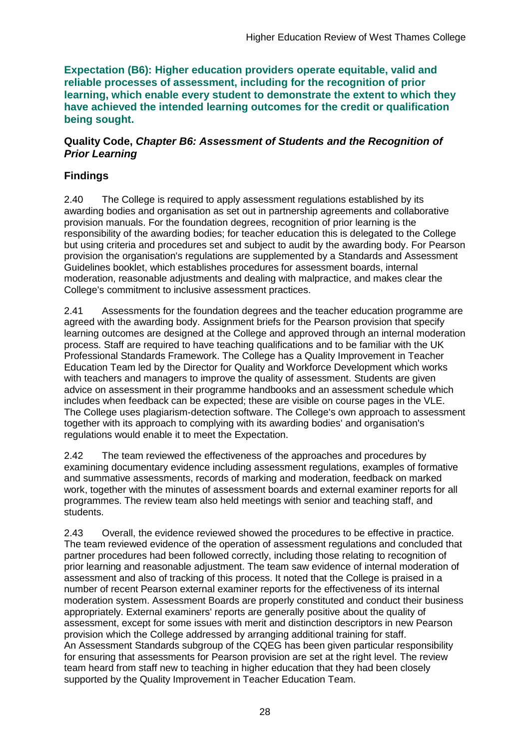**Expectation (B6): Higher education providers operate equitable, valid and reliable processes of assessment, including for the recognition of prior learning, which enable every student to demonstrate the extent to which they have achieved the intended learning outcomes for the credit or qualification being sought.**

#### **Quality Code,** *Chapter B6: Assessment of Students and the Recognition of Prior Learning*

## **Findings**

2.40 The College is required to apply assessment regulations established by its awarding bodies and organisation as set out in partnership agreements and collaborative provision manuals. For the foundation degrees, recognition of prior learning is the responsibility of the awarding bodies; for teacher education this is delegated to the College but using criteria and procedures set and subject to audit by the awarding body. For Pearson provision the organisation's regulations are supplemented by a Standards and Assessment Guidelines booklet, which establishes procedures for assessment boards, internal moderation, reasonable adjustments and dealing with malpractice, and makes clear the College's commitment to inclusive assessment practices.

2.41 Assessments for the foundation degrees and the teacher education programme are agreed with the awarding body. Assignment briefs for the Pearson provision that specify learning outcomes are designed at the College and approved through an internal moderation process. Staff are required to have teaching qualifications and to be familiar with the UK Professional Standards Framework. The College has a Quality Improvement in Teacher Education Team led by the Director for Quality and Workforce Development which works with teachers and managers to improve the quality of assessment. Students are given advice on assessment in their programme handbooks and an assessment schedule which includes when feedback can be expected; these are visible on course pages in the VLE. The College uses plagiarism-detection software. The College's own approach to assessment together with its approach to complying with its awarding bodies' and organisation's regulations would enable it to meet the Expectation.

2.42 The team reviewed the effectiveness of the approaches and procedures by examining documentary evidence including assessment regulations, examples of formative and summative assessments, records of marking and moderation, feedback on marked work, together with the minutes of assessment boards and external examiner reports for all programmes. The review team also held meetings with senior and teaching staff, and students.

2.43 Overall, the evidence reviewed showed the procedures to be effective in practice. The team reviewed evidence of the operation of assessment regulations and concluded that partner procedures had been followed correctly, including those relating to recognition of prior learning and reasonable adjustment. The team saw evidence of internal moderation of assessment and also of tracking of this process. It noted that the College is praised in a number of recent Pearson external examiner reports for the effectiveness of its internal moderation system. Assessment Boards are properly constituted and conduct their business appropriately. External examiners' reports are generally positive about the quality of assessment, except for some issues with merit and distinction descriptors in new Pearson provision which the College addressed by arranging additional training for staff. An Assessment Standards subgroup of the CQEG has been given particular responsibility for ensuring that assessments for Pearson provision are set at the right level. The review team heard from staff new to teaching in higher education that they had been closely supported by the Quality Improvement in Teacher Education Team.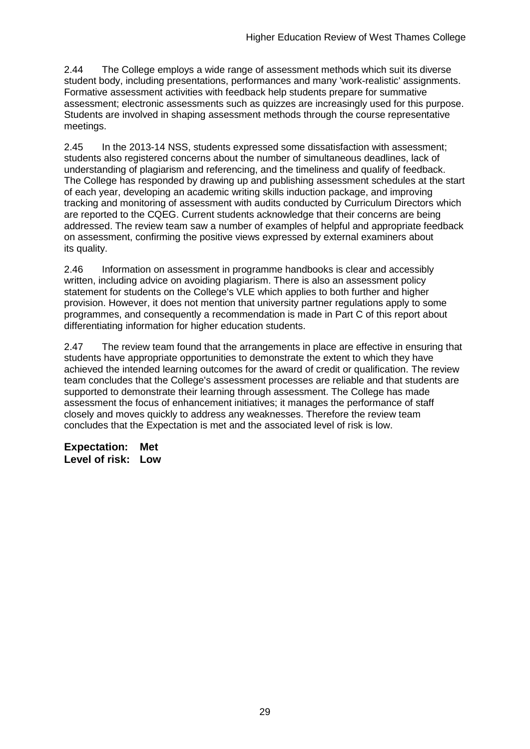2.44 The College employs a wide range of assessment methods which suit its diverse student body, including presentations, performances and many 'work-realistic' assignments. Formative assessment activities with feedback help students prepare for summative assessment; electronic assessments such as quizzes are increasingly used for this purpose. Students are involved in shaping assessment methods through the course representative meetings.

2.45 In the 2013-14 NSS, students expressed some dissatisfaction with assessment; students also registered concerns about the number of simultaneous deadlines, lack of understanding of plagiarism and referencing, and the timeliness and qualify of feedback. The College has responded by drawing up and publishing assessment schedules at the start of each year, developing an academic writing skills induction package, and improving tracking and monitoring of assessment with audits conducted by Curriculum Directors which are reported to the CQEG. Current students acknowledge that their concerns are being addressed. The review team saw a number of examples of helpful and appropriate feedback on assessment, confirming the positive views expressed by external examiners about its quality.

2.46 Information on assessment in programme handbooks is clear and accessibly written, including advice on avoiding plagiarism. There is also an assessment policy statement for students on the College's VLE which applies to both further and higher provision. However, it does not mention that university partner regulations apply to some programmes, and consequently a recommendation is made in Part C of this report about differentiating information for higher education students.

2.47 The review team found that the arrangements in place are effective in ensuring that students have appropriate opportunities to demonstrate the extent to which they have achieved the intended learning outcomes for the award of credit or qualification. The review team concludes that the College's assessment processes are reliable and that students are supported to demonstrate their learning through assessment. The College has made assessment the focus of enhancement initiatives; it manages the performance of staff closely and moves quickly to address any weaknesses. Therefore the review team concludes that the Expectation is met and the associated level of risk is low.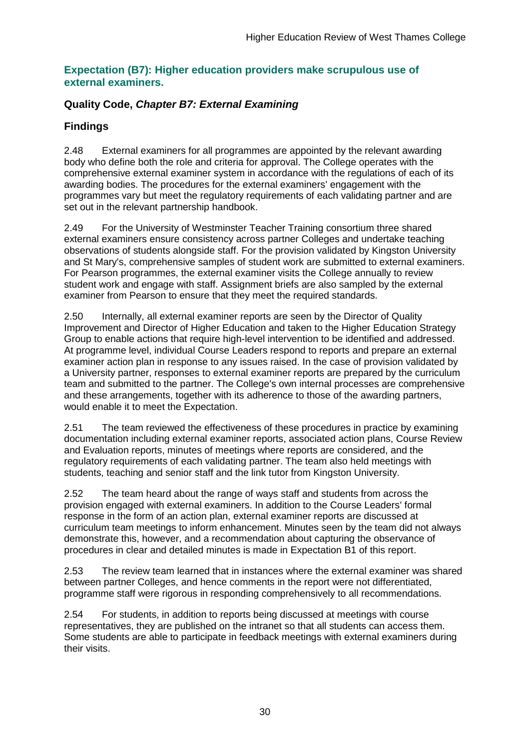#### **Expectation (B7): Higher education providers make scrupulous use of external examiners.**

### **Quality Code,** *Chapter B7: External Examining*

### **Findings**

2.48 External examiners for all programmes are appointed by the relevant awarding body who define both the role and criteria for approval. The College operates with the comprehensive external examiner system in accordance with the regulations of each of its awarding bodies. The procedures for the external examiners' engagement with the programmes vary but meet the regulatory requirements of each validating partner and are set out in the relevant partnership handbook.

2.49 For the University of Westminster Teacher Training consortium three shared external examiners ensure consistency across partner Colleges and undertake teaching observations of students alongside staff. For the provision validated by Kingston University and St Mary's, comprehensive samples of student work are submitted to external examiners. For Pearson programmes, the external examiner visits the College annually to review student work and engage with staff. Assignment briefs are also sampled by the external examiner from Pearson to ensure that they meet the required standards.

2.50 Internally, all external examiner reports are seen by the Director of Quality Improvement and Director of Higher Education and taken to the Higher Education Strategy Group to enable actions that require high-level intervention to be identified and addressed. At programme level, individual Course Leaders respond to reports and prepare an external examiner action plan in response to any issues raised. In the case of provision validated by a University partner, responses to external examiner reports are prepared by the curriculum team and submitted to the partner. The College's own internal processes are comprehensive and these arrangements, together with its adherence to those of the awarding partners, would enable it to meet the Expectation.

2.51 The team reviewed the effectiveness of these procedures in practice by examining documentation including external examiner reports, associated action plans, Course Review and Evaluation reports, minutes of meetings where reports are considered, and the regulatory requirements of each validating partner. The team also held meetings with students, teaching and senior staff and the link tutor from Kingston University.

2.52 The team heard about the range of ways staff and students from across the provision engaged with external examiners. In addition to the Course Leaders' formal response in the form of an action plan, external examiner reports are discussed at curriculum team meetings to inform enhancement. Minutes seen by the team did not always demonstrate this, however, and a recommendation about capturing the observance of procedures in clear and detailed minutes is made in Expectation B1 of this report.

2.53 The review team learned that in instances where the external examiner was shared between partner Colleges, and hence comments in the report were not differentiated, programme staff were rigorous in responding comprehensively to all recommendations.

2.54 For students, in addition to reports being discussed at meetings with course representatives, they are published on the intranet so that all students can access them. Some students are able to participate in feedback meetings with external examiners during their visits.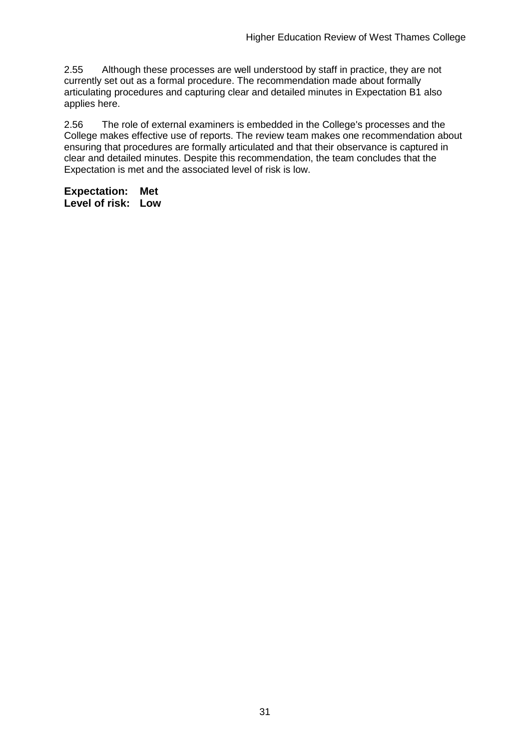2.55 Although these processes are well understood by staff in practice, they are not currently set out as a formal procedure. The recommendation made about formally articulating procedures and capturing clear and detailed minutes in Expectation B1 also applies here.

2.56 The role of external examiners is embedded in the College's processes and the College makes effective use of reports. The review team makes one recommendation about ensuring that procedures are formally articulated and that their observance is captured in clear and detailed minutes. Despite this recommendation, the team concludes that the Expectation is met and the associated level of risk is low.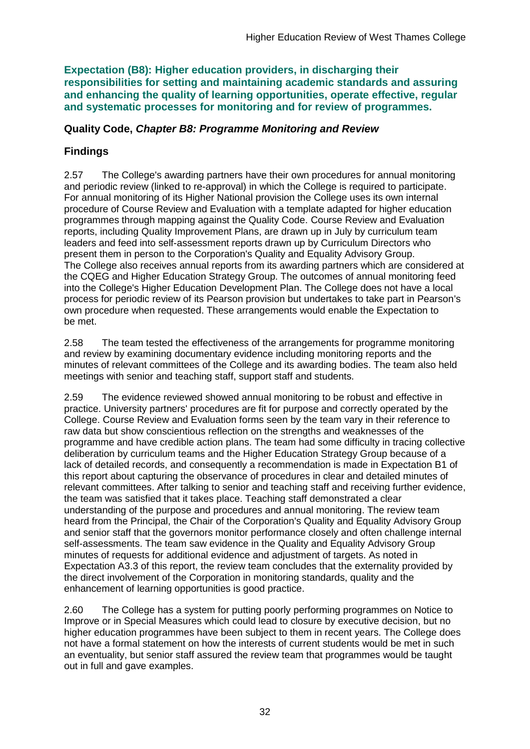**Expectation (B8): Higher education providers, in discharging their responsibilities for setting and maintaining academic standards and assuring and enhancing the quality of learning opportunities, operate effective, regular and systematic processes for monitoring and for review of programmes.**

### **Quality Code,** *Chapter B8: Programme Monitoring and Review*

## **Findings**

2.57 The College's awarding partners have their own procedures for annual monitoring and periodic review (linked to re-approval) in which the College is required to participate. For annual monitoring of its Higher National provision the College uses its own internal procedure of Course Review and Evaluation with a template adapted for higher education programmes through mapping against the Quality Code. Course Review and Evaluation reports, including Quality Improvement Plans, are drawn up in July by curriculum team leaders and feed into self-assessment reports drawn up by Curriculum Directors who present them in person to the Corporation's Quality and Equality Advisory Group. The College also receives annual reports from its awarding partners which are considered at the CQEG and Higher Education Strategy Group. The outcomes of annual monitoring feed into the College's Higher Education Development Plan. The College does not have a local process for periodic review of its Pearson provision but undertakes to take part in Pearson's own procedure when requested. These arrangements would enable the Expectation to be met.

2.58 The team tested the effectiveness of the arrangements for programme monitoring and review by examining documentary evidence including monitoring reports and the minutes of relevant committees of the College and its awarding bodies. The team also held meetings with senior and teaching staff, support staff and students.

2.59 The evidence reviewed showed annual monitoring to be robust and effective in practice. University partners' procedures are fit for purpose and correctly operated by the College. Course Review and Evaluation forms seen by the team vary in their reference to raw data but show conscientious reflection on the strengths and weaknesses of the programme and have credible action plans. The team had some difficulty in tracing collective deliberation by curriculum teams and the Higher Education Strategy Group because of a lack of detailed records, and consequently a recommendation is made in Expectation B1 of this report about capturing the observance of procedures in clear and detailed minutes of relevant committees. After talking to senior and teaching staff and receiving further evidence, the team was satisfied that it takes place. Teaching staff demonstrated a clear understanding of the purpose and procedures and annual monitoring. The review team heard from the Principal, the Chair of the Corporation's Quality and Equality Advisory Group and senior staff that the governors monitor performance closely and often challenge internal self-assessments. The team saw evidence in the Quality and Equality Advisory Group minutes of requests for additional evidence and adjustment of targets. As noted in Expectation A3.3 of this report, the review team concludes that the externality provided by the direct involvement of the Corporation in monitoring standards, quality and the enhancement of learning opportunities is good practice.

2.60 The College has a system for putting poorly performing programmes on Notice to Improve or in Special Measures which could lead to closure by executive decision, but no higher education programmes have been subject to them in recent years. The College does not have a formal statement on how the interests of current students would be met in such an eventuality, but senior staff assured the review team that programmes would be taught out in full and gave examples.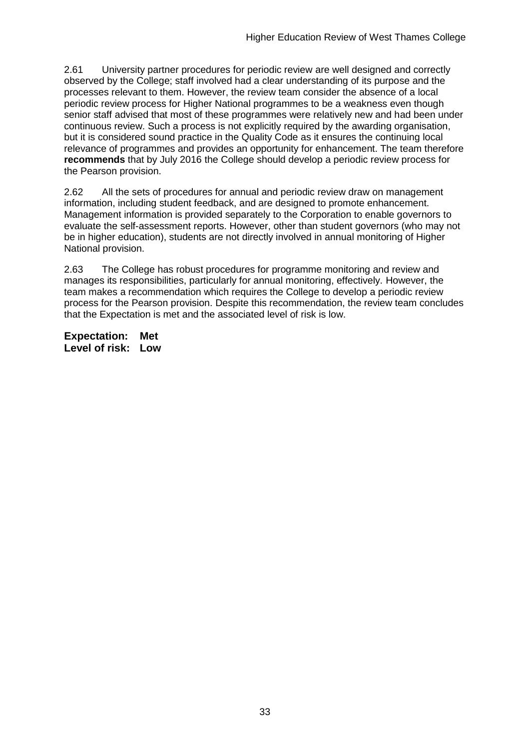2.61 University partner procedures for periodic review are well designed and correctly observed by the College; staff involved had a clear understanding of its purpose and the processes relevant to them. However, the review team consider the absence of a local periodic review process for Higher National programmes to be a weakness even though senior staff advised that most of these programmes were relatively new and had been under continuous review. Such a process is not explicitly required by the awarding organisation, but it is considered sound practice in the Quality Code as it ensures the continuing local relevance of programmes and provides an opportunity for enhancement. The team therefore **recommends** that by July 2016 the College should develop a periodic review process for the Pearson provision.

2.62 All the sets of procedures for annual and periodic review draw on management information, including student feedback, and are designed to promote enhancement. Management information is provided separately to the Corporation to enable governors to evaluate the self-assessment reports. However, other than student governors (who may not be in higher education), students are not directly involved in annual monitoring of Higher National provision.

2.63 The College has robust procedures for programme monitoring and review and manages its responsibilities, particularly for annual monitoring, effectively. However, the team makes a recommendation which requires the College to develop a periodic review process for the Pearson provision. Despite this recommendation, the review team concludes that the Expectation is met and the associated level of risk is low.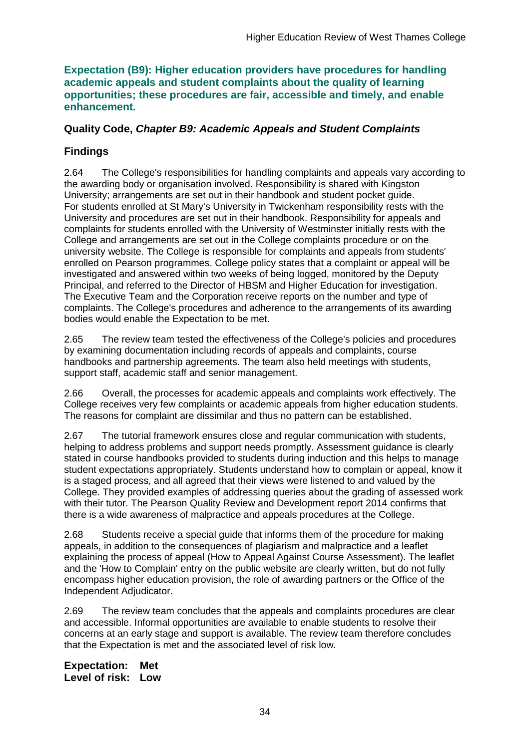#### **Expectation (B9): Higher education providers have procedures for handling academic appeals and student complaints about the quality of learning opportunities; these procedures are fair, accessible and timely, and enable enhancement.**

### **Quality Code,** *Chapter B9: Academic Appeals and Student Complaints*

## **Findings**

2.64 The College's responsibilities for handling complaints and appeals vary according to the awarding body or organisation involved. Responsibility is shared with Kingston University; arrangements are set out in their handbook and student pocket guide. For students enrolled at St Mary's University in Twickenham responsibility rests with the University and procedures are set out in their handbook. Responsibility for appeals and complaints for students enrolled with the University of Westminster initially rests with the College and arrangements are set out in the College complaints procedure or on the university website. The College is responsible for complaints and appeals from students' enrolled on Pearson programmes. College policy states that a complaint or appeal will be investigated and answered within two weeks of being logged, monitored by the Deputy Principal, and referred to the Director of HBSM and Higher Education for investigation. The Executive Team and the Corporation receive reports on the number and type of complaints. The College's procedures and adherence to the arrangements of its awarding bodies would enable the Expectation to be met.

2.65 The review team tested the effectiveness of the College's policies and procedures by examining documentation including records of appeals and complaints, course handbooks and partnership agreements. The team also held meetings with students, support staff, academic staff and senior management.

2.66 Overall, the processes for academic appeals and complaints work effectively. The College receives very few complaints or academic appeals from higher education students. The reasons for complaint are dissimilar and thus no pattern can be established.

2.67 The tutorial framework ensures close and regular communication with students, helping to address problems and support needs promptly. Assessment guidance is clearly stated in course handbooks provided to students during induction and this helps to manage student expectations appropriately. Students understand how to complain or appeal, know it is a staged process, and all agreed that their views were listened to and valued by the College. They provided examples of addressing queries about the grading of assessed work with their tutor. The Pearson Quality Review and Development report 2014 confirms that there is a wide awareness of malpractice and appeals procedures at the College.

2.68 Students receive a special guide that informs them of the procedure for making appeals, in addition to the consequences of plagiarism and malpractice and a leaflet explaining the process of appeal (How to Appeal Against Course Assessment). The leaflet and the 'How to Complain' entry on the public website are clearly written, but do not fully encompass higher education provision, the role of awarding partners or the Office of the Independent Adjudicator.

2.69 The review team concludes that the appeals and complaints procedures are clear and accessible. Informal opportunities are available to enable students to resolve their concerns at an early stage and support is available. The review team therefore concludes that the Expectation is met and the associated level of risk low.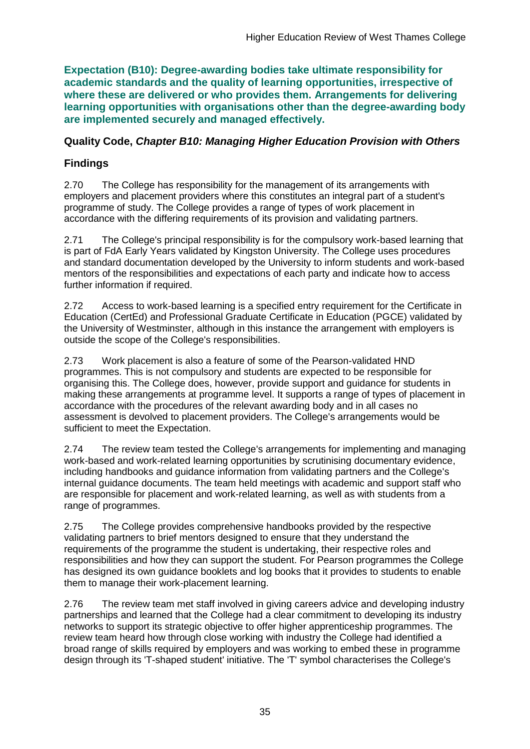**Expectation (B10): Degree-awarding bodies take ultimate responsibility for academic standards and the quality of learning opportunities, irrespective of where these are delivered or who provides them. Arrangements for delivering learning opportunities with organisations other than the degree-awarding body are implemented securely and managed effectively.**

### **Quality Code,** *Chapter B10: Managing Higher Education Provision with Others*

## **Findings**

2.70 The College has responsibility for the management of its arrangements with employers and placement providers where this constitutes an integral part of a student's programme of study. The College provides a range of types of work placement in accordance with the differing requirements of its provision and validating partners.

2.71 The College's principal responsibility is for the compulsory work-based learning that is part of FdA Early Years validated by Kingston University. The College uses procedures and standard documentation developed by the University to inform students and work-based mentors of the responsibilities and expectations of each party and indicate how to access further information if required.

2.72 Access to work-based learning is a specified entry requirement for the Certificate in Education (CertEd) and Professional Graduate Certificate in Education (PGCE) validated by the University of Westminster, although in this instance the arrangement with employers is outside the scope of the College's responsibilities.

2.73 Work placement is also a feature of some of the Pearson-validated HND programmes. This is not compulsory and students are expected to be responsible for organising this. The College does, however, provide support and guidance for students in making these arrangements at programme level. It supports a range of types of placement in accordance with the procedures of the relevant awarding body and in all cases no assessment is devolved to placement providers. The College's arrangements would be sufficient to meet the Expectation.

2.74 The review team tested the College's arrangements for implementing and managing work-based and work-related learning opportunities by scrutinising documentary evidence, including handbooks and guidance information from validating partners and the College's internal guidance documents. The team held meetings with academic and support staff who are responsible for placement and work-related learning, as well as with students from a range of programmes.

2.75 The College provides comprehensive handbooks provided by the respective validating partners to brief mentors designed to ensure that they understand the requirements of the programme the student is undertaking, their respective roles and responsibilities and how they can support the student. For Pearson programmes the College has designed its own guidance booklets and log books that it provides to students to enable them to manage their work-placement learning.

2.76 The review team met staff involved in giving careers advice and developing industry partnerships and learned that the College had a clear commitment to developing its industry networks to support its strategic objective to offer higher apprenticeship programmes. The review team heard how through close working with industry the College had identified a broad range of skills required by employers and was working to embed these in programme design through its 'T-shaped student' initiative. The 'T' symbol characterises the College's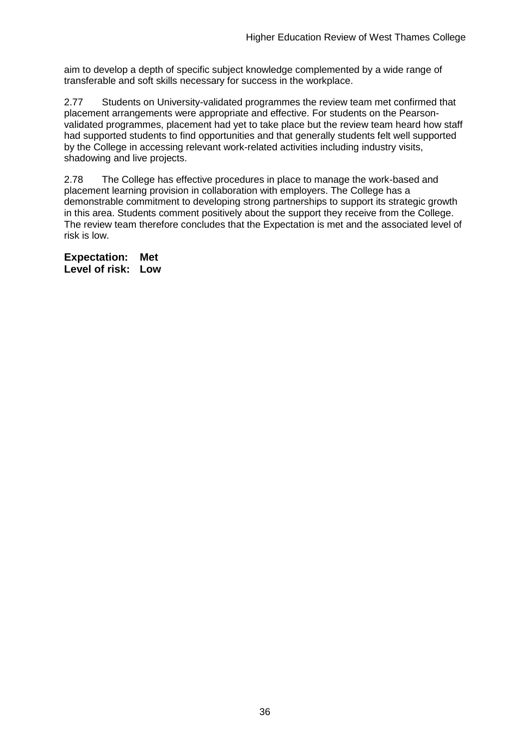aim to develop a depth of specific subject knowledge complemented by a wide range of transferable and soft skills necessary for success in the workplace.

2.77 Students on University-validated programmes the review team met confirmed that placement arrangements were appropriate and effective. For students on the Pearsonvalidated programmes, placement had yet to take place but the review team heard how staff had supported students to find opportunities and that generally students felt well supported by the College in accessing relevant work-related activities including industry visits, shadowing and live projects.

2.78 The College has effective procedures in place to manage the work-based and placement learning provision in collaboration with employers. The College has a demonstrable commitment to developing strong partnerships to support its strategic growth in this area. Students comment positively about the support they receive from the College. The review team therefore concludes that the Expectation is met and the associated level of risk is low.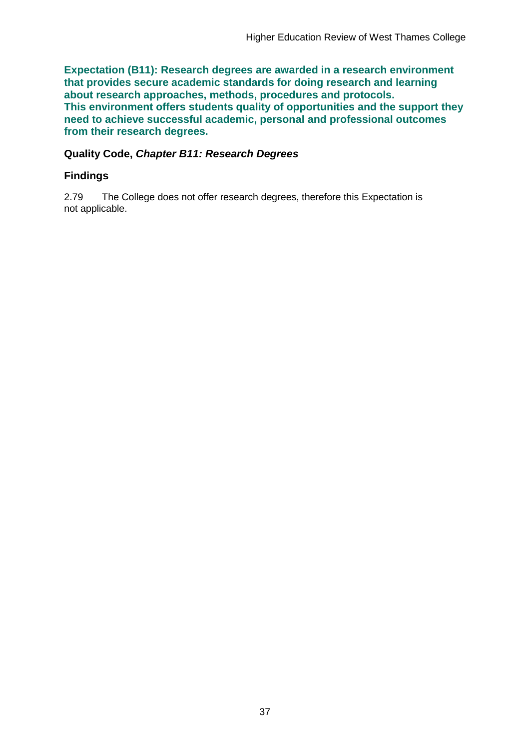**Expectation (B11): Research degrees are awarded in a research environment that provides secure academic standards for doing research and learning about research approaches, methods, procedures and protocols. This environment offers students quality of opportunities and the support they need to achieve successful academic, personal and professional outcomes from their research degrees.**

### **Quality Code,** *Chapter B11: Research Degrees*

### **Findings**

2.79 The College does not offer research degrees, therefore this Expectation is not applicable.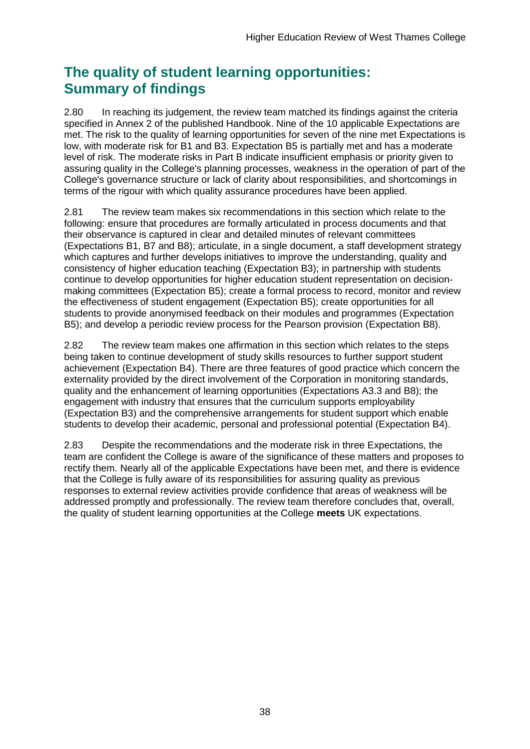## **The quality of student learning opportunities: Summary of findings**

2.80 In reaching its judgement, the review team matched its findings against the criteria specified in Annex 2 of the published Handbook. Nine of the 10 applicable Expectations are met. The risk to the quality of learning opportunities for seven of the nine met Expectations is low, with moderate risk for B1 and B3. Expectation B5 is partially met and has a moderate level of risk. The moderate risks in Part B indicate insufficient emphasis or priority given to assuring quality in the College's planning processes, weakness in the operation of part of the College's governance structure or lack of clarity about responsibilities, and shortcomings in terms of the rigour with which quality assurance procedures have been applied.

2.81 The review team makes six recommendations in this section which relate to the following: ensure that procedures are formally articulated in process documents and that their observance is captured in clear and detailed minutes of relevant committees (Expectations B1, B7 and B8); articulate, in a single document, a staff development strategy which captures and further develops initiatives to improve the understanding, quality and consistency of higher education teaching (Expectation B3); in partnership with students continue to develop opportunities for higher education student representation on decisionmaking committees (Expectation B5); create a formal process to record, monitor and review the effectiveness of student engagement (Expectation B5); create opportunities for all students to provide anonymised feedback on their modules and programmes (Expectation B5); and develop a periodic review process for the Pearson provision (Expectation B8).

2.82 The review team makes one affirmation in this section which relates to the steps being taken to continue development of study skills resources to further support student achievement (Expectation B4). There are three features of good practice which concern the externality provided by the direct involvement of the Corporation in monitoring standards, quality and the enhancement of learning opportunities (Expectations A3.3 and B8); the engagement with industry that ensures that the curriculum supports employability (Expectation B3) and the comprehensive arrangements for student support which enable students to develop their academic, personal and professional potential (Expectation B4).

2.83 Despite the recommendations and the moderate risk in three Expectations, the team are confident the College is aware of the significance of these matters and proposes to rectify them. Nearly all of the applicable Expectations have been met, and there is evidence that the College is fully aware of its responsibilities for assuring quality as previous responses to external review activities provide confidence that areas of weakness will be addressed promptly and professionally. The review team therefore concludes that, overall, the quality of student learning opportunities at the College **meets** UK expectations.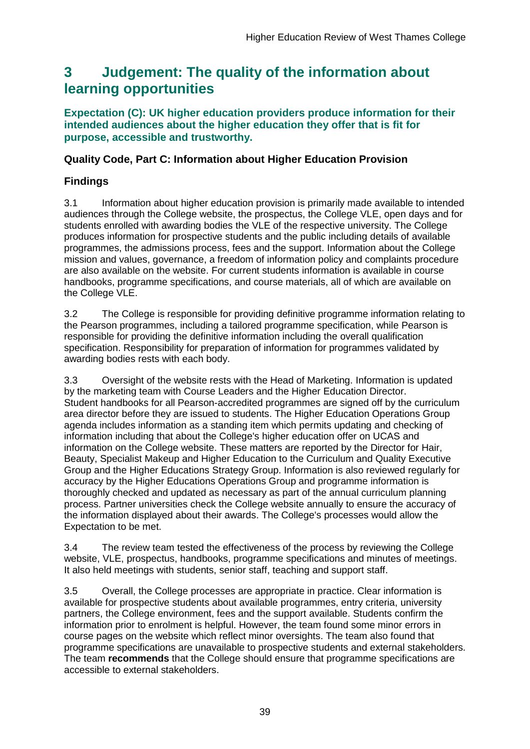## <span id="page-39-0"></span>**3 Judgement: The quality of the information about learning opportunities**

#### **Expectation (C): UK higher education providers produce information for their intended audiences about the higher education they offer that is fit for purpose, accessible and trustworthy.**

### **Quality Code, Part C: Information about Higher Education Provision**

### **Findings**

3.1 Information about higher education provision is primarily made available to intended audiences through the College website, the prospectus, the College VLE, open days and for students enrolled with awarding bodies the VLE of the respective university. The College produces information for prospective students and the public including details of available programmes, the admissions process, fees and the support. Information about the College mission and values, governance, a freedom of information policy and complaints procedure are also available on the website. For current students information is available in course handbooks, programme specifications, and course materials, all of which are available on the College VLE.

3.2 The College is responsible for providing definitive programme information relating to the Pearson programmes, including a tailored programme specification, while Pearson is responsible for providing the definitive information including the overall qualification specification. Responsibility for preparation of information for programmes validated by awarding bodies rests with each body.

3.3 Oversight of the website rests with the Head of Marketing. Information is updated by the marketing team with Course Leaders and the Higher Education Director. Student handbooks for all Pearson-accredited programmes are signed off by the curriculum area director before they are issued to students. The Higher Education Operations Group agenda includes information as a standing item which permits updating and checking of information including that about the College's higher education offer on UCAS and information on the College website. These matters are reported by the Director for Hair, Beauty, Specialist Makeup and Higher Education to the Curriculum and Quality Executive Group and the Higher Educations Strategy Group. Information is also reviewed regularly for accuracy by the Higher Educations Operations Group and programme information is thoroughly checked and updated as necessary as part of the annual curriculum planning process. Partner universities check the College website annually to ensure the accuracy of the information displayed about their awards. The College's processes would allow the Expectation to be met.

3.4 The review team tested the effectiveness of the process by reviewing the College website, VLE, prospectus, handbooks, programme specifications and minutes of meetings. It also held meetings with students, senior staff, teaching and support staff.

3.5 Overall, the College processes are appropriate in practice. Clear information is available for prospective students about available programmes, entry criteria, university partners, the College environment, fees and the support available. Students confirm the information prior to enrolment is helpful. However, the team found some minor errors in course pages on the website which reflect minor oversights. The team also found that programme specifications are unavailable to prospective students and external stakeholders. The team **recommends** that the College should ensure that programme specifications are accessible to external stakeholders.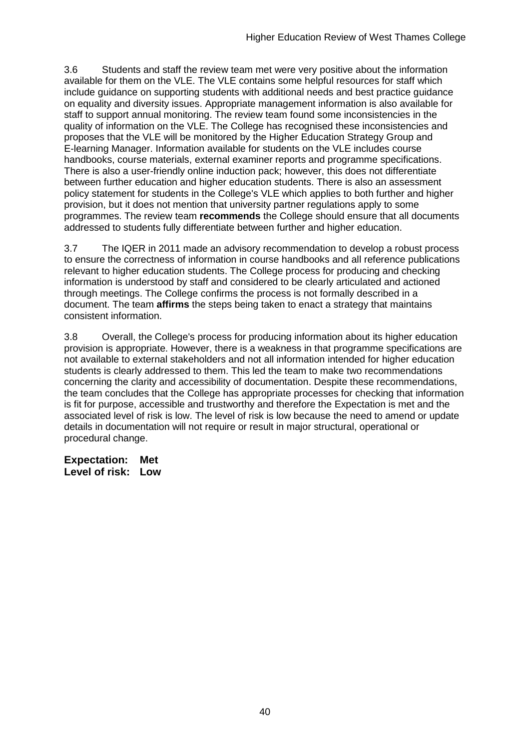3.6 Students and staff the review team met were very positive about the information available for them on the VLE. The VLE contains some helpful resources for staff which include guidance on supporting students with additional needs and best practice guidance on equality and diversity issues. Appropriate management information is also available for staff to support annual monitoring. The review team found some inconsistencies in the quality of information on the VLE. The College has recognised these inconsistencies and proposes that the VLE will be monitored by the Higher Education Strategy Group and E-learning Manager. Information available for students on the VLE includes course handbooks, course materials, external examiner reports and programme specifications. There is also a user-friendly online induction pack; however, this does not differentiate between further education and higher education students. There is also an assessment policy statement for students in the College's VLE which applies to both further and higher provision, but it does not mention that university partner regulations apply to some programmes. The review team **recommends** the College should ensure that all documents addressed to students fully differentiate between further and higher education.

3.7 The IQER in 2011 made an advisory recommendation to develop a robust process to ensure the correctness of information in course handbooks and all reference publications relevant to higher education students. The College process for producing and checking information is understood by staff and considered to be clearly articulated and actioned through meetings. The College confirms the process is not formally described in a document. The team **affirms** the steps being taken to enact a strategy that maintains consistent information.

3.8 Overall, the College's process for producing information about its higher education provision is appropriate. However, there is a weakness in that programme specifications are not available to external stakeholders and not all information intended for higher education students is clearly addressed to them. This led the team to make two recommendations concerning the clarity and accessibility of documentation. Despite these recommendations, the team concludes that the College has appropriate processes for checking that information is fit for purpose, accessible and trustworthy and therefore the Expectation is met and the associated level of risk is low. The level of risk is low because the need to amend or update details in documentation will not require or result in major structural, operational or procedural change.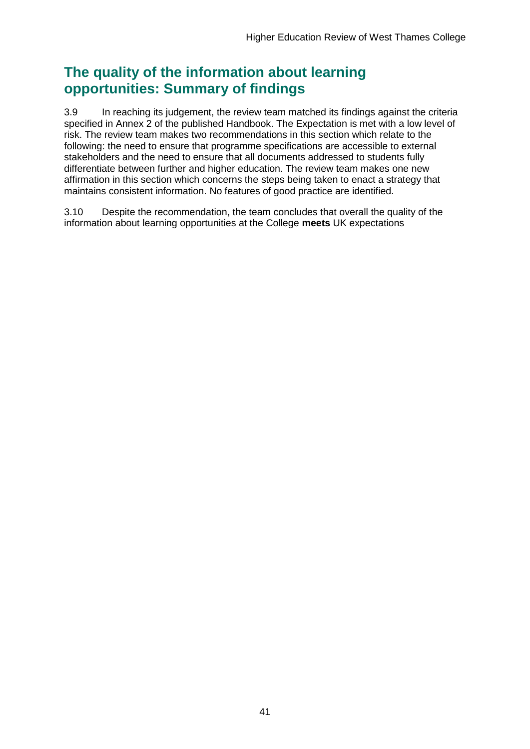## **The quality of the information about learning opportunities: Summary of findings**

3.9 In reaching its judgement, the review team matched its findings against the criteria specified in Annex 2 of the published Handbook. The Expectation is met with a low level of risk. The review team makes two recommendations in this section which relate to the following: the need to ensure that programme specifications are accessible to external stakeholders and the need to ensure that all documents addressed to students fully differentiate between further and higher education. The review team makes one new affirmation in this section which concerns the steps being taken to enact a strategy that maintains consistent information. No features of good practice are identified.

3.10 Despite the recommendation, the team concludes that overall the quality of the information about learning opportunities at the College **meets** UK expectations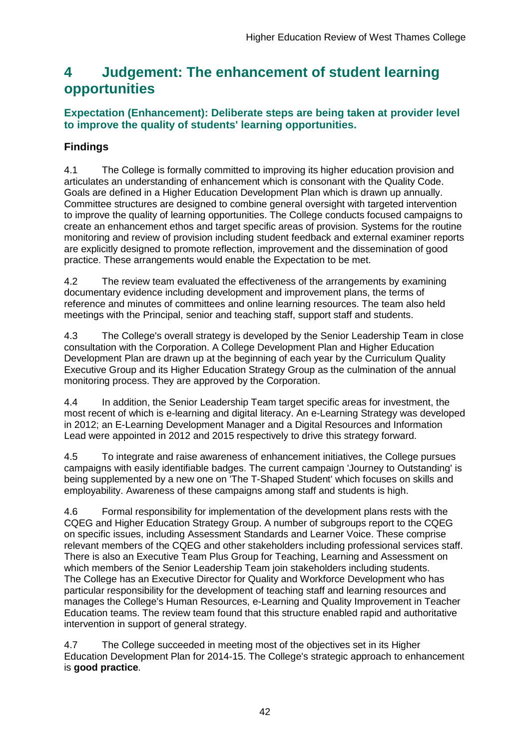## <span id="page-42-0"></span>**4 Judgement: The enhancement of student learning opportunities**

## **Expectation (Enhancement): Deliberate steps are being taken at provider level to improve the quality of students' learning opportunities.**

## **Findings**

4.1 The College is formally committed to improving its higher education provision and articulates an understanding of enhancement which is consonant with the Quality Code. Goals are defined in a Higher Education Development Plan which is drawn up annually. Committee structures are designed to combine general oversight with targeted intervention to improve the quality of learning opportunities. The College conducts focused campaigns to create an enhancement ethos and target specific areas of provision. Systems for the routine monitoring and review of provision including student feedback and external examiner reports are explicitly designed to promote reflection, improvement and the dissemination of good practice. These arrangements would enable the Expectation to be met.

4.2 The review team evaluated the effectiveness of the arrangements by examining documentary evidence including development and improvement plans, the terms of reference and minutes of committees and online learning resources. The team also held meetings with the Principal, senior and teaching staff, support staff and students.

4.3 The College's overall strategy is developed by the Senior Leadership Team in close consultation with the Corporation. A College Development Plan and Higher Education Development Plan are drawn up at the beginning of each year by the Curriculum Quality Executive Group and its Higher Education Strategy Group as the culmination of the annual monitoring process. They are approved by the Corporation.

4.4 In addition, the Senior Leadership Team target specific areas for investment, the most recent of which is e-learning and digital literacy. An e-Learning Strategy was developed in 2012; an E-Learning Development Manager and a Digital Resources and Information Lead were appointed in 2012 and 2015 respectively to drive this strategy forward.

4.5 To integrate and raise awareness of enhancement initiatives, the College pursues campaigns with easily identifiable badges. The current campaign 'Journey to Outstanding' is being supplemented by a new one on 'The T-Shaped Student' which focuses on skills and employability. Awareness of these campaigns among staff and students is high.

4.6 Formal responsibility for implementation of the development plans rests with the CQEG and Higher Education Strategy Group. A number of subgroups report to the CQEG on specific issues, including Assessment Standards and Learner Voice. These comprise relevant members of the CQEG and other stakeholders including professional services staff. There is also an Executive Team Plus Group for Teaching, Learning and Assessment on which members of the Senior Leadership Team join stakeholders including students. The College has an Executive Director for Quality and Workforce Development who has particular responsibility for the development of teaching staff and learning resources and manages the College's Human Resources, e-Learning and Quality Improvement in Teacher Education teams. The review team found that this structure enabled rapid and authoritative intervention in support of general strategy.

4.7 The College succeeded in meeting most of the objectives set in its Higher Education Development Plan for 2014-15. The College's strategic approach to enhancement is **good practice**.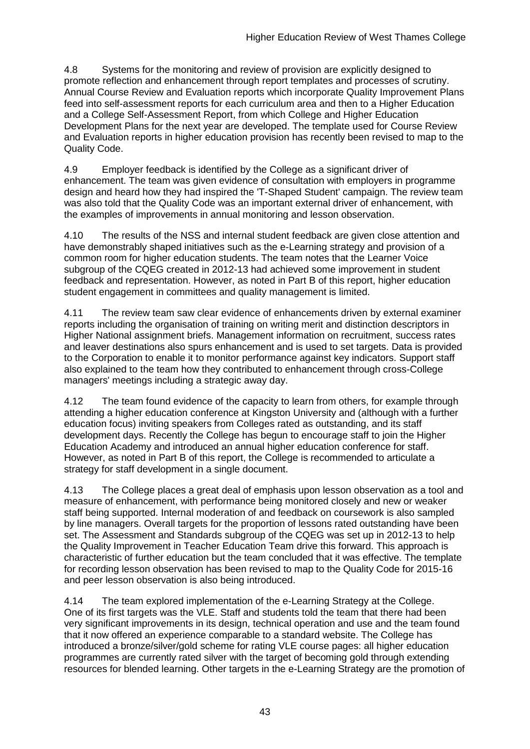4.8 Systems for the monitoring and review of provision are explicitly designed to promote reflection and enhancement through report templates and processes of scrutiny. Annual Course Review and Evaluation reports which incorporate Quality Improvement Plans feed into self-assessment reports for each curriculum area and then to a Higher Education and a College Self-Assessment Report, from which College and Higher Education Development Plans for the next year are developed. The template used for Course Review and Evaluation reports in higher education provision has recently been revised to map to the Quality Code.

4.9 Employer feedback is identified by the College as a significant driver of enhancement. The team was given evidence of consultation with employers in programme design and heard how they had inspired the 'T-Shaped Student' campaign. The review team was also told that the Quality Code was an important external driver of enhancement, with the examples of improvements in annual monitoring and lesson observation.

4.10 The results of the NSS and internal student feedback are given close attention and have demonstrably shaped initiatives such as the e-Learning strategy and provision of a common room for higher education students. The team notes that the Learner Voice subgroup of the CQEG created in 2012-13 had achieved some improvement in student feedback and representation. However, as noted in Part B of this report, higher education student engagement in committees and quality management is limited.

4.11 The review team saw clear evidence of enhancements driven by external examiner reports including the organisation of training on writing merit and distinction descriptors in Higher National assignment briefs. Management information on recruitment, success rates and leaver destinations also spurs enhancement and is used to set targets. Data is provided to the Corporation to enable it to monitor performance against key indicators. Support staff also explained to the team how they contributed to enhancement through cross-College managers' meetings including a strategic away day.

4.12 The team found evidence of the capacity to learn from others, for example through attending a higher education conference at Kingston University and (although with a further education focus) inviting speakers from Colleges rated as outstanding, and its staff development days. Recently the College has begun to encourage staff to join the Higher Education Academy and introduced an annual higher education conference for staff. However, as noted in Part B of this report, the College is recommended to articulate a strategy for staff development in a single document.

4.13 The College places a great deal of emphasis upon lesson observation as a tool and measure of enhancement, with performance being monitored closely and new or weaker staff being supported. Internal moderation of and feedback on coursework is also sampled by line managers. Overall targets for the proportion of lessons rated outstanding have been set. The Assessment and Standards subgroup of the CQEG was set up in 2012-13 to help the Quality Improvement in Teacher Education Team drive this forward. This approach is characteristic of further education but the team concluded that it was effective. The template for recording lesson observation has been revised to map to the Quality Code for 2015-16 and peer lesson observation is also being introduced.

4.14 The team explored implementation of the e-Learning Strategy at the College. One of its first targets was the VLE. Staff and students told the team that there had been very significant improvements in its design, technical operation and use and the team found that it now offered an experience comparable to a standard website. The College has introduced a bronze/silver/gold scheme for rating VLE course pages: all higher education programmes are currently rated silver with the target of becoming gold through extending resources for blended learning. Other targets in the e-Learning Strategy are the promotion of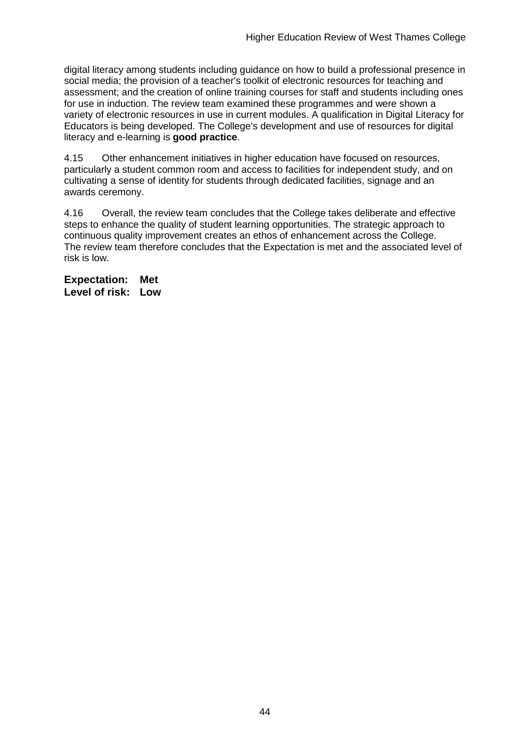digital literacy among students including guidance on how to build a professional presence in social media; the provision of a teacher's toolkit of electronic resources for teaching and assessment; and the creation of online training courses for staff and students including ones for use in induction. The review team examined these programmes and were shown a variety of electronic resources in use in current modules. A qualification in Digital Literacy for Educators is being developed. The College's development and use of resources for digital literacy and e-learning is **good practice**.

4.15 Other enhancement initiatives in higher education have focused on resources, particularly a student common room and access to facilities for independent study, and on cultivating a sense of identity for students through dedicated facilities, signage and an awards ceremony.

4.16 Overall, the review team concludes that the College takes deliberate and effective steps to enhance the quality of student learning opportunities. The strategic approach to continuous quality improvement creates an ethos of enhancement across the College. The review team therefore concludes that the Expectation is met and the associated level of risk is low.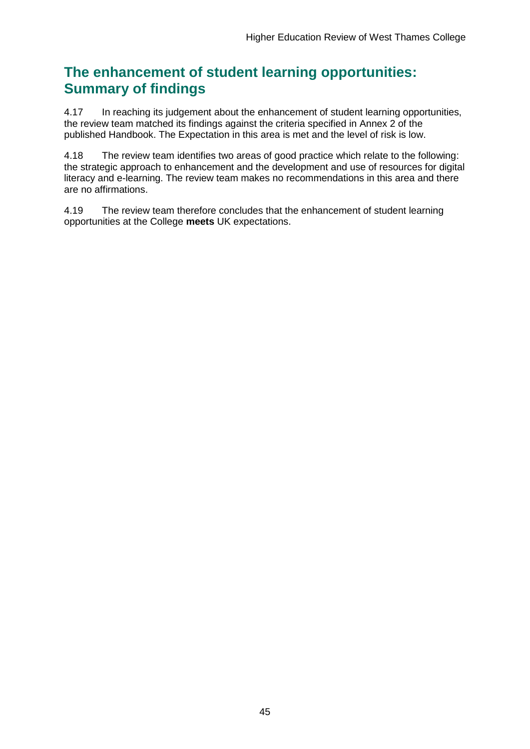## **The enhancement of student learning opportunities: Summary of findings**

4.17 In reaching its judgement about the enhancement of student learning opportunities, the review team matched its findings against the criteria specified in Annex 2 of the published Handbook. The Expectation in this area is met and the level of risk is low.

4.18 The review team identifies two areas of good practice which relate to the following: the strategic approach to enhancement and the development and use of resources for digital literacy and e-learning. The review team makes no recommendations in this area and there are no affirmations.

4.19 The review team therefore concludes that the enhancement of student learning opportunities at the College **meets** UK expectations.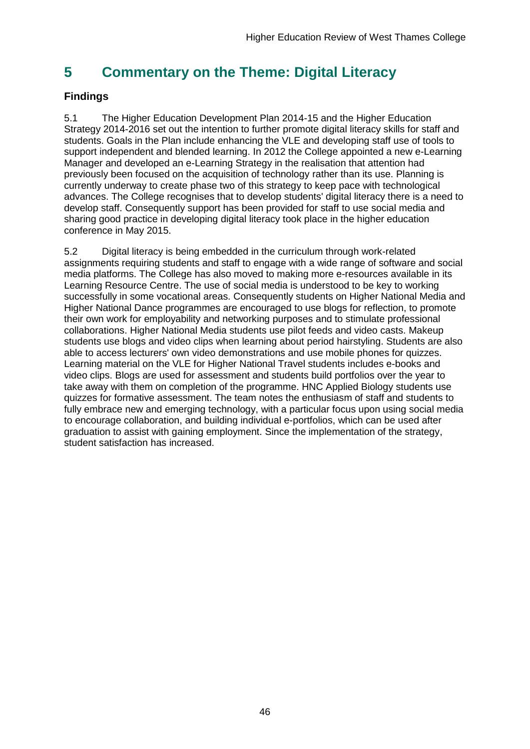## <span id="page-46-0"></span>**5 Commentary on the Theme: Digital Literacy**

## **Findings**

5.1 The Higher Education Development Plan 2014-15 and the Higher Education Strategy 2014-2016 set out the intention to further promote digital literacy skills for staff and students. Goals in the Plan include enhancing the VLE and developing staff use of tools to support independent and blended learning. In 2012 the College appointed a new e-Learning Manager and developed an e-Learning Strategy in the realisation that attention had previously been focused on the acquisition of technology rather than its use. Planning is currently underway to create phase two of this strategy to keep pace with technological advances. The College recognises that to develop students' digital literacy there is a need to develop staff. Consequently support has been provided for staff to use social media and sharing good practice in developing digital literacy took place in the higher education conference in May 2015.

<span id="page-46-1"></span>5.2 Digital literacy is being embedded in the curriculum through work-related assignments requiring students and staff to engage with a wide range of software and social media platforms. The College has also moved to making more e-resources available in its Learning Resource Centre. The use of social media is understood to be key to working successfully in some vocational areas. Consequently students on Higher National Media and Higher National Dance programmes are encouraged to use blogs for reflection, to promote their own work for employability and networking purposes and to stimulate professional collaborations. Higher National Media students use pilot feeds and video casts. Makeup students use blogs and video clips when learning about period hairstyling. Students are also able to access lecturers' own video demonstrations and use mobile phones for quizzes. Learning material on the VLE for Higher National Travel students includes e-books and video clips. Blogs are used for assessment and students build portfolios over the year to take away with them on completion of the programme. HNC Applied Biology students use quizzes for formative assessment. The team notes the enthusiasm of staff and students to fully embrace new and emerging technology, with a particular focus upon using social media to encourage collaboration, and building individual e-portfolios, which can be used after graduation to assist with gaining employment. Since the implementation of the strategy, student satisfaction has increased.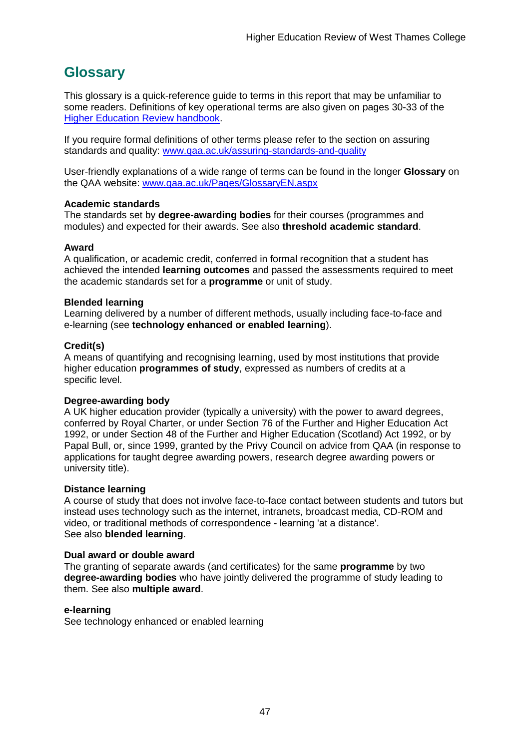## <span id="page-47-0"></span>**Glossary**

This glossary is a quick-reference guide to terms in this report that may be unfamiliar to some readers. Definitions of key operational terms are also given on pages 30-33 of the [Higher Education Review handbook.](http://www.qaa.ac.uk/publications/information-and-guidance/publication?PubID=2672)

If you require formal definitions of other terms please refer to the section on assuring standards and quality: [www.qaa.ac.uk/assuring-standards-and-quality](http://www.qaa.ac.uk/assuring-standards-and-quality)

User-friendly explanations of a wide range of terms can be found in the longer **Glossary** on the QAA website: [www.qaa.ac.uk/Pages/GlossaryEN.aspx](http://www.qaa.ac.uk/Pages/GlossaryEN.aspx)

#### **Academic standards**

The standards set by **degree-awarding bodies** for their courses (programmes and modules) and expected for their awards. See also **threshold academic standard**.

#### **Award**

A qualification, or academic credit, conferred in formal recognition that a student has achieved the intended **learning outcomes** and passed the assessments required to meet the academic standards set for a **programme** or unit of study.

#### **Blended learning**

Learning delivered by a number of different methods, usually including face-to-face and e-learning (see **[technology enhanced or enabled learning](http://www.qaa.ac.uk/AboutUs/glossary/Pages/glossary-t.aspx#t1)**).

#### **Credit(s)**

A means of quantifying and recognising learning, used by most institutions that provide higher education **programmes of study**, expressed as numbers of credits at a specific level.

#### **Degree-awarding body**

A UK [higher education provider](http://newlive.qaa.ac.uk/AboutUs/glossary/Pages/glossary-h.aspx#h2.1) (typically a [university\)](http://newlive.qaa.ac.uk/AboutUs/glossary/Pages/glossary-u-z.aspx#u4) with the power to award degrees, conferred by Royal Charter, or under Section 76 of the Further and Higher Education Act 1992, or under Section 48 of the Further and Higher Education (Scotland) Act 1992, or by Papal Bull, or, since 1999, granted by the Privy Council on advice from QAA (in response to applications for [taught degree awarding powers, research degree awarding powers or](http://newlive.qaa.ac.uk/AboutUs/DAP/Pages/default.aspx)  [university title\)](http://newlive.qaa.ac.uk/AboutUs/DAP/Pages/default.aspx).

#### **Distance learning**

A course of study that does not involve face-to-face contact between students and tutors but instead uses technology such as the internet, intranets, broadcast media, CD-ROM and video, or traditional methods of correspondence - learning 'at a distance'. See also **blended learning**.

#### **Dual award or double award**

The granting of separate awards (and certificates) for the same **programme** by two **degree-awarding bodies** who have jointly delivered the programme of study leading to them. See also **multiple award**.

#### **e-learning**

See technology enhanced or enabled learning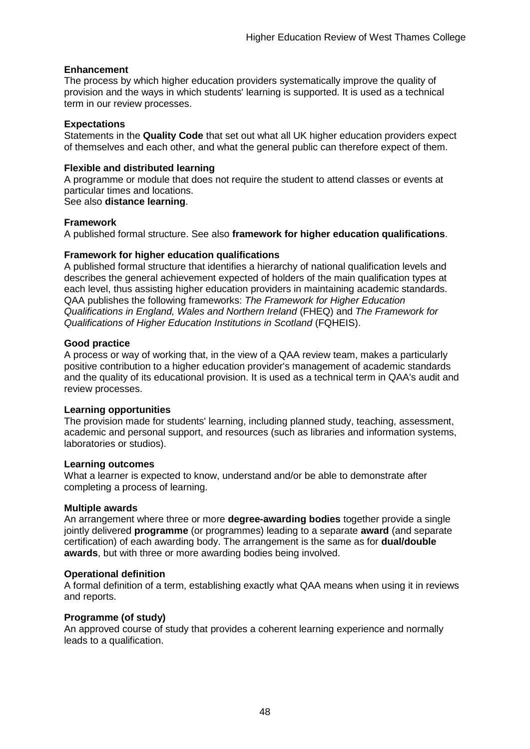#### **Enhancement**

The process by which [higher education providers](http://www.qaa.ac.uk/AboutUs/glossary/Pages/glossary-h.aspx#h2.1) systematically improve the quality of provision and the ways in which students' learning is supported. It is used as a technical term in our review processes.

#### **Expectations**

Statements in the **Quality Code** that set out what all UK [higher education providers](http://newlive.qaa.ac.uk/AboutUs/glossary/Pages/glossary-h.aspx#h2.1) expect of themselves and each other, and what the general public can therefore expect of them.

#### **Flexible and distributed learning**

A [programme](http://newlive.qaa.ac.uk/AboutUs/glossary/Pages/glossary-p.aspx#p12) or [module](http://newlive.qaa.ac.uk/AboutUs/glossary/Pages/glossary-m-o.aspx#m6) that does not require the student to attend classes or events at particular times and locations.

#### See also **distance learning**.

#### **Framework**

A published formal structure. See also **framework for higher education qualifications**.

#### **Framework for higher education qualifications**

A published formal structure that identifies a hierarchy of national qualification levels and describes the general achievement expected of holders of the main qualification types at each level, thus assisting higher education providers in maintaining academic standards. QAA publishes the following frameworks: *The Framework for Higher Education Qualifications in England, Wales and Northern Ireland* (FHEQ) and *The Framework for Qualifications of Higher Education Institutions in Scotland* (FQHEIS).

#### **Good practice**

A process or way of working that, in the view of a QAA review team, makes a particularly positive contribution to a higher education provider's management of academic standards and the quality of its educational provision. It is used as a technical term in QAA's audit and review processes.

#### **Learning opportunities**

The provision made for students' learning, including planned study, teaching, assessment, academic and personal support, and resources (such as libraries and information systems, laboratories or studios).

#### **Learning outcomes**

What a learner is expected to know, understand and/or be able to demonstrate after completing a process of learning.

#### **Multiple awards**

An arrangement where three or more **degree-awarding bodies** together provide a single jointly delivered **programme** (or programmes) leading to a separate **award** (and separate certification) of each awarding body. The arrangement is the same as for **dual/double awards**, but with three or more awarding bodies being involved.

#### **Operational definition**

A formal definition of a term, establishing exactly what QAA means when using it in reviews and reports.

#### **Programme (of study)**

An approved course of study that provides a coherent learning experience and normally leads to a qualification.